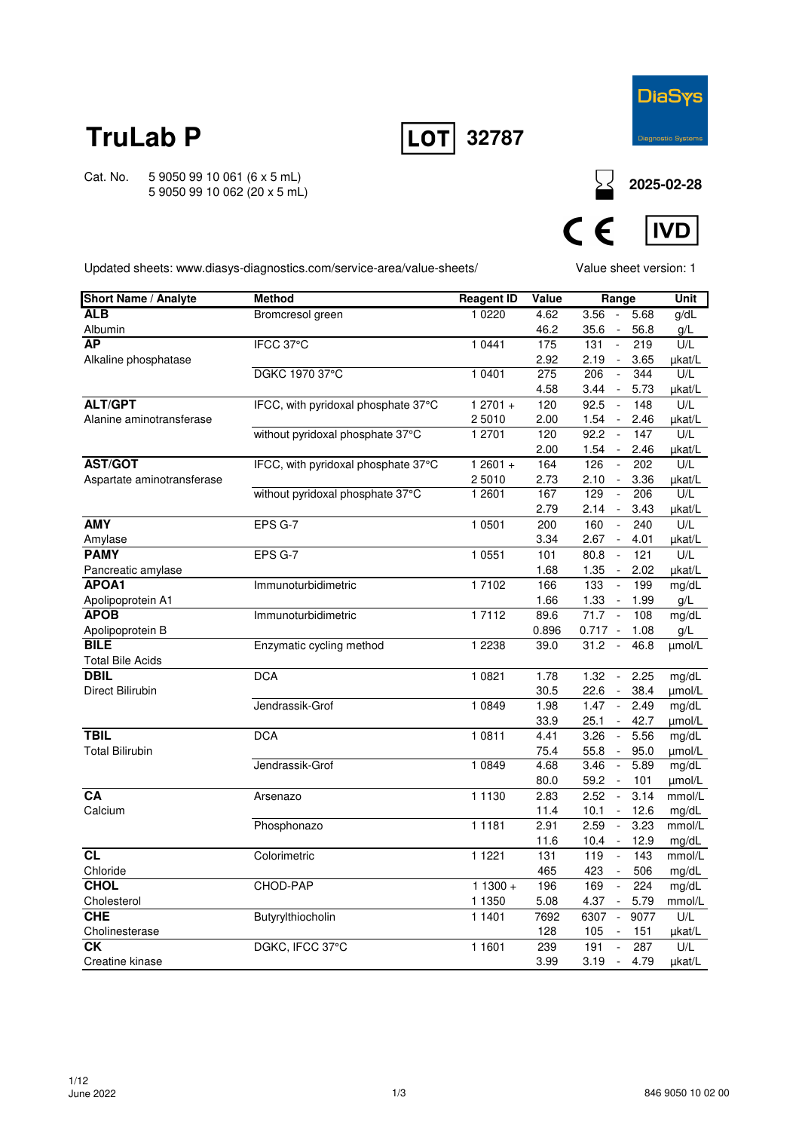



Cat. No. 5 9050 99 10 061 (6 x 5 mL) 5 9050 99 10 062 (20 x 5 mL)

**2025-02-28**



Updated sheets: www.diasys-diagnostics.com/service-area/value-sheets/

Value sheet version: 1

| <b>Short Name / Analyte</b> | <b>Method</b>                       | <b>Reagent ID</b> | Value | Range                                    | Unit   |
|-----------------------------|-------------------------------------|-------------------|-------|------------------------------------------|--------|
| <b>ALB</b>                  | Bromcresol green                    | 1 0 2 2 0         | 4.62  | 3.56<br>5.68<br>$\sim$                   | q/dL   |
| Albumin                     |                                     |                   | 46.2  | 35.6<br>56.8                             | g/L    |
| <b>AP</b>                   | IFCC 37°C                           | 1 0 4 4 1         | 175   | $\bar{\omega}$<br>131<br>219             | U/L    |
| Alkaline phosphatase        |                                     |                   | 2.92  | 2.19<br>3.65<br>$\sim$                   | µkat/L |
|                             | DGKC 1970 37°C                      | 1 0401            | 275   | 344<br>206<br>$\overline{\phantom{a}}$   | U/L    |
|                             |                                     |                   | 4.58  | 3.44<br>5.73<br>$\sim$                   | µkat/L |
| <b>ALT/GPT</b>              | IFCC, with pyridoxal phosphate 37°C | $12701 +$         | 120   | 92.5<br>148<br>$\sim$                    | U/L    |
| Alanine aminotransferase    |                                     | 25010             | 2.00  | 1.54<br>2.46<br>$\sim$                   | µkat/L |
|                             | without pyridoxal phosphate 37°C    | 1 2701            | 120   | 92.2<br>147<br>$\overline{\phantom{a}}$  | U/L    |
|                             |                                     |                   | 2.00  | 1.54<br>2.46                             | µkat/L |
| <b>AST/GOT</b>              | IFCC, with pyridoxal phosphate 37°C | $12601 +$         | 164   | 126<br>$\mathcal{L}$<br>202              | U/L    |
| Aspartate aminotransferase  |                                     | 2 5010            | 2.73  | 2.10<br>$\sim$<br>3.36                   | µkat/L |
|                             | without pyridoxal phosphate 37°C    | 1 2601            | 167   | 129<br>206<br>$\Box$                     | U/L    |
|                             |                                     |                   | 2.79  | 2.14<br>3.43<br>$\sim$                   | µkat/L |
| <b>AMY</b>                  | EPS G-7                             | 1 0501            | 200   | 160<br>240<br>$\tilde{\phantom{a}}$      | U/L    |
| Amylase                     |                                     |                   | 3.34  | 2.67<br>4.01<br>$\sim$                   | µkat/L |
| <b>PAMY</b>                 | EPS G-7                             | 1 0 5 5 1         | 101   | 121<br>80.8<br>$\overline{\phantom{a}}$  | U/L    |
| Pancreatic amylase          |                                     |                   | 1.68  | 1.35<br>2.02<br>$\sim$                   | µkat/L |
| APOA1                       | Immunoturbidimetric                 | 17102             | 166   | 133<br>$\overline{\phantom{a}}$<br>199   | mg/dL  |
| Apolipoprotein A1           |                                     |                   | 1.66  | 1.33<br>1.99<br>$\sim$                   | g/L    |
| <b>APOB</b>                 | Immunoturbidimetric                 | 17112             | 89.6  | 71.7<br>108<br>$\sim$                    | mg/dL  |
| Apolipoprotein B            |                                     |                   | 0.896 | $0.717 -$<br>1.08                        | g/L    |
| <b>BILE</b>                 | Enzymatic cycling method            | 1 2 2 3 8         | 39.0  | 31.2<br>46.8<br>$\overline{\phantom{a}}$ | umol/L |
| <b>Total Bile Acids</b>     |                                     |                   |       |                                          |        |
| <b>DBIL</b>                 | <b>DCA</b>                          | 1 0821            | 1.78  | 2.25<br>1.32<br>$\omega$                 | mg/dL  |
| Direct Bilirubin            |                                     |                   | 30.5  | 22.6<br>38.4<br>$\sim$                   | umol/L |
|                             | Jendrassik-Grof                     | 1 0 8 4 9         | 1.98  | 2.49<br>1.47<br>$\sim$                   | mg/dL  |
|                             |                                     |                   | 33.9  | 25.1<br>42.7<br>$\blacksquare$           | umol/L |
| <b>TBIL</b>                 | <b>DCA</b>                          | 1 0811            | 4.41  | 3.26<br>5.56<br>$\overline{\phantom{a}}$ | mg/dL  |
| <b>Total Bilirubin</b>      |                                     |                   | 75.4  | 55.8<br>95.0<br>$\overline{\phantom{a}}$ | umol/L |
|                             | Jendrassik-Grof                     | 1 0 8 4 9         | 4.68  | 3.46<br>$\sim$<br>5.89                   | mg/dL  |
|                             |                                     |                   | 80.0  | 59.2<br>101<br>$\sim$                    | µmol/L |
| <b>CA</b>                   | Arsenazo                            | 1 1 1 3 0         | 2.83  | 2.52<br>$\sim$<br>3.14                   | mmol/L |
| Calcium                     |                                     |                   | 11.4  | 12.6<br>10.1<br>$\sim$ $-$               | mg/dL  |
|                             | Phosphonazo                         | 1 1 1 8 1         | 2.91  | 2.59<br>3.23<br>$\sim$                   | mmol/L |
|                             |                                     |                   | 11.6  | 10.4<br>12.9<br>$\sim$                   | mg/dL  |
| CL                          | Colorimetric                        | 1 1 2 2 1         | 131   | 119<br>143<br>$\overline{\phantom{a}}$   | mmol/L |
| Chloride<br><b>CHOL</b>     |                                     |                   | 465   | 423<br>506                               | mg/dL  |
|                             | CHOD-PAP                            | $11300 +$         | 196   | 169<br>224<br>$\sim$                     | mg/dL  |
| Cholesterol                 |                                     | 1 1350            | 5.08  | 4.37<br>$\sim$<br>5.79                   | mmol/L |
| <b>CHE</b>                  | Butyrylthiocholin                   | 1 1401            | 7692  | 6307<br>9077<br>$\overline{\phantom{a}}$ | U/L    |
| Cholinesterase              |                                     |                   | 128   | 105<br>151<br>$\overline{\phantom{a}}$   | µkat/L |
| <b>CK</b>                   | DGKC, IFCC 37°C                     | 1 1 6 0 1         | 239   | 287<br>191                               | U/L    |
| Creatine kinase             |                                     |                   | 3.99  | 3.19<br>4.79<br>$\blacksquare$           | µkat/L |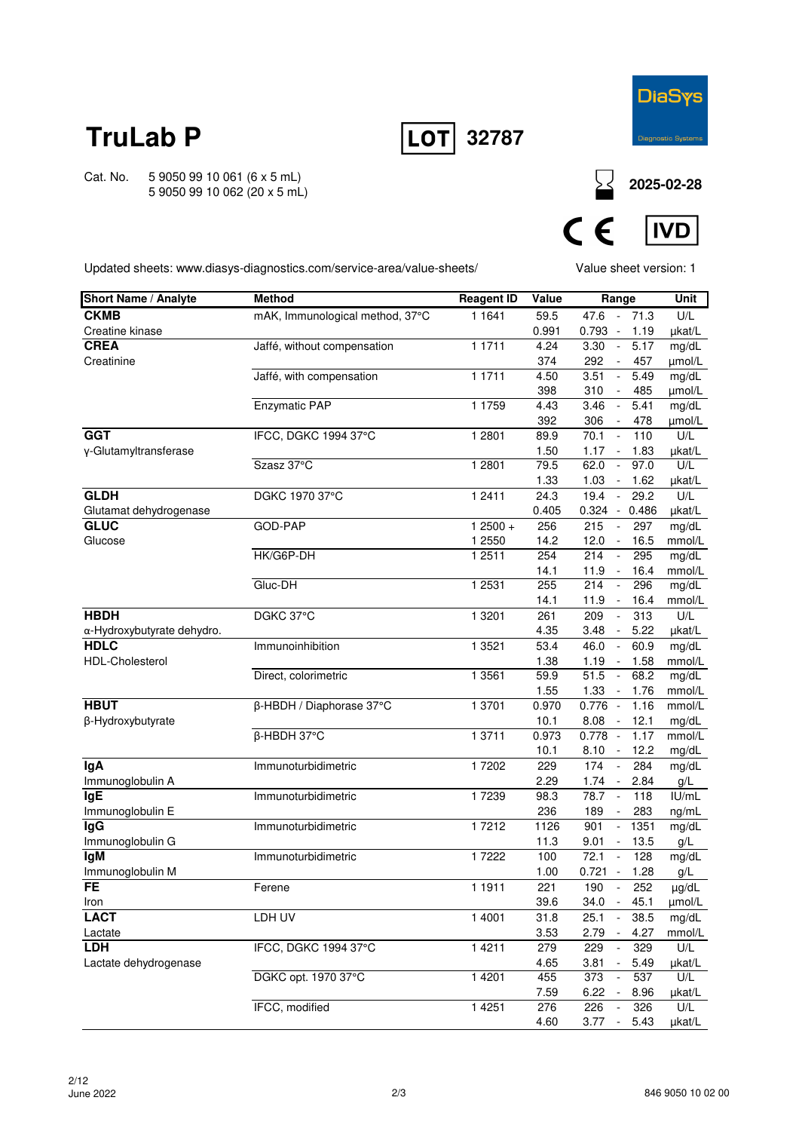



Cat. No. 5 9050 99 10 061 (6 x 5 mL) 5 9050 99 10 062 (20 x 5 mL)

**2025-02-28**



Updated sheets: www.diasys-diagnostics.com/service-area/value-sheets/

Value sheet version: 1

| <b>Short Name / Analyte</b>               | <b>Method</b>                   | <b>Reagent ID</b> | Value        | Range                            |              | <b>Unit</b>     |
|-------------------------------------------|---------------------------------|-------------------|--------------|----------------------------------|--------------|-----------------|
| <b>CKMB</b>                               | mAK, Immunological method, 37°C | 1 1 6 4 1         | 59.5         | 47.6                             | $-71.3$      | U/L             |
| Creatine kinase                           |                                 |                   | 0.991        | $0.793 -$                        | 1.19         | µkat/L          |
| <b>CREA</b>                               | Jaffé, without compensation     | 1 1 7 1 1         | 4.24         | 3.30<br>$\sim$                   | 5.17         | mg/dL           |
| Creatinine                                |                                 |                   | 374          | 292<br>$\overline{\phantom{a}}$  | 457          | µmol/L          |
|                                           | Jaffé, with compensation        | 1 1 7 1 1         | 4.50         | 3.51<br>$\overline{\phantom{a}}$ | 5.49         | mg/dL           |
|                                           |                                 |                   | 398          | 310<br>$\overline{\phantom{a}}$  | 485          | µmol/L          |
|                                           | <b>Enzymatic PAP</b>            | 1 1759            | 4.43         | 3.46<br>$\sim$                   | 5.41         | mg/dL           |
|                                           |                                 |                   | 392          | 306<br>$\sim$                    | 478          | µmol/L          |
| <b>GGT</b>                                | IFCC, DGKC 1994 37°C            | 1 2801            | 89.9         | 70.1<br>$\Box$                   | 110          | U/L             |
| y-Glutamyltransferase                     |                                 |                   | 1.50         | 1.17<br>$\sim$                   | 1.83         | µkat/L          |
|                                           | Szasz 37°C                      | 1 2 8 0 1         | 79.5         | 62.0<br>$\overline{\phantom{a}}$ | 97.0         | U/L             |
|                                           |                                 |                   | 1.33         | 1.03<br>$\overline{\phantom{a}}$ | 1.62         | µkat/L          |
| <b>GLDH</b>                               | DGKC 1970 37°C                  | 1 2411            | 24.3         | 19.4<br>$\blacksquare$           | 29.2         | U/L             |
| Glutamat dehydrogenase                    |                                 |                   | 0.405        | $0.324 -$                        | 0.486        | µkat/L          |
| <b>GLUC</b>                               | GOD-PAP                         | $12500 +$         | 256          | 215<br>$\bar{\phantom{a}}$       | 297          | mg/dL           |
| Glucose                                   |                                 | 1 2550            | 14.2         | 12.0<br>$\sim$                   | 16.5         | mmol/L          |
|                                           | HK/G6P-DH                       | 1 2 5 1 1         | 254          | 214<br>$\Box$                    | 295          | mg/dL           |
|                                           |                                 |                   | 14.1         | 11.9<br>$\sim$                   | 16.4         | mmol/L          |
|                                           | Gluc-DH                         | 1 2531            | 255          | 214<br>$\blacksquare$            | 296          | mg/dL           |
| <b>HBDH</b>                               |                                 |                   | 14.1         | 11.9<br>$\sim$<br>$\Box$         | 16.4         | mmol/L          |
|                                           | DGKC 37°C                       | 1 3 2 0 1         | 261          | 209                              | 313          | U/L             |
| α-Hydroxybutyrate dehydro.<br><b>HDLC</b> | Immunoinhibition                | 1 3521            | 4.35<br>53.4 | 3.48<br>$\sim$<br>$\sim$<br>46.0 | 5.22<br>60.9 | µkat/L<br>mg/dL |
| <b>HDL-Cholesterol</b>                    |                                 |                   | 1.38         | 1.19<br>$\sim$                   | 1.58         | mmol/L          |
|                                           | Direct, colorimetric            | 1 3561            | 59.9         | $\overline{51.5}$<br>$\sim$      | 68.2         | mg/dL           |
|                                           |                                 |                   | 1.55         | 1.33<br>$\sim$                   | 1.76         | mmol/L          |
| <b>HBUT</b>                               | β-HBDH / Diaphorase 37°C        | 1 3701            | 0.970        | $0.776 -$                        | 1.16         | mmol/L          |
| β-Hydroxybutyrate                         |                                 |                   | 10.1         | 8.08<br>$\sim$                   | 12.1         | mg/dL           |
|                                           | $\overline{\beta}$ -HBDH 37°C   | 1 3 7 1 1         | 0.973        | $0.778 -$                        | 1.17         | mmol/L          |
|                                           |                                 |                   | 10.1         | 8.10<br>$\sim$                   | 12.2         | mg/dL           |
| lgA                                       | Immunoturbidimetric             | 17202             | 229          | 174<br>$\overline{\phantom{a}}$  | 284          | mg/dL           |
| Immunoglobulin A                          |                                 |                   | 2.29         | 1.74<br>$\sim$                   | 2.84         | g/L             |
| <b>IgE</b>                                | Immunoturbidimetric             | 17239             | 98.3         | 78.7<br>$\sim$                   | 118          | IU/mL           |
| Immunoglobulin E                          |                                 |                   | 236          | 189<br>$\blacksquare$            | 283          | ng/mL           |
| lgG                                       | Immunoturbidimetric             | 17212             | 1126         | 901<br>$\blacksquare$            | 1351         | mg/dL           |
| Immunoglobulin G                          |                                 |                   | 11.3         | 9.01<br>$\overline{\phantom{a}}$ | 13.5         | g/L             |
| <b>IgM</b>                                | Immunoturbidimetric             | 17222             | 100          | 72.1<br>$\tilde{\phantom{a}}$    | 128          | mg/dL           |
| Immunoglobulin M                          |                                 |                   | 1.00         | $0.721 -$                        | 1.28         | g/L             |
| <b>FE</b>                                 | Ferene                          | 1 1911            | 221          | 190                              | 252          | $\mu$ g/dl      |
| Iron                                      |                                 |                   | 39.6         | $34.0 - 45.1$                    |              | µmol/L          |
| <b>LACT</b>                               | LDH UV                          | 1 4001            | 31.8         | 25.1<br>$\blacksquare$           | 38.5         | mg/dL           |
| Lactate                                   |                                 |                   | 3.53         | 2.79<br>$\sim$                   | 4.27         | mmol/L          |
| <b>LDH</b>                                | IFCC, DGKC 1994 37°C            | 1 4 2 1 1         | 279          | 229<br>$\blacksquare$            | 329          | U/L             |
| Lactate dehydrogenase                     |                                 |                   | 4.65         | 3.81<br>$\blacksquare$           | 5.49         | µkat/L          |
|                                           | DGKC opt. 1970 37°C             | 1 4 2 0 1         | 455          | 373<br>$\omega$                  | 537          | U/L             |
|                                           |                                 |                   | 7.59         | 6.22<br>$\sim$                   | 8.96         | µkat/L          |
|                                           | IFCC, modified                  | 1 4 2 5 1         | 276          | 226<br>$\Box$                    | 326          | U/L             |
|                                           |                                 |                   | 4.60         | $3.77 -$                         | 5.43         | µkat/L          |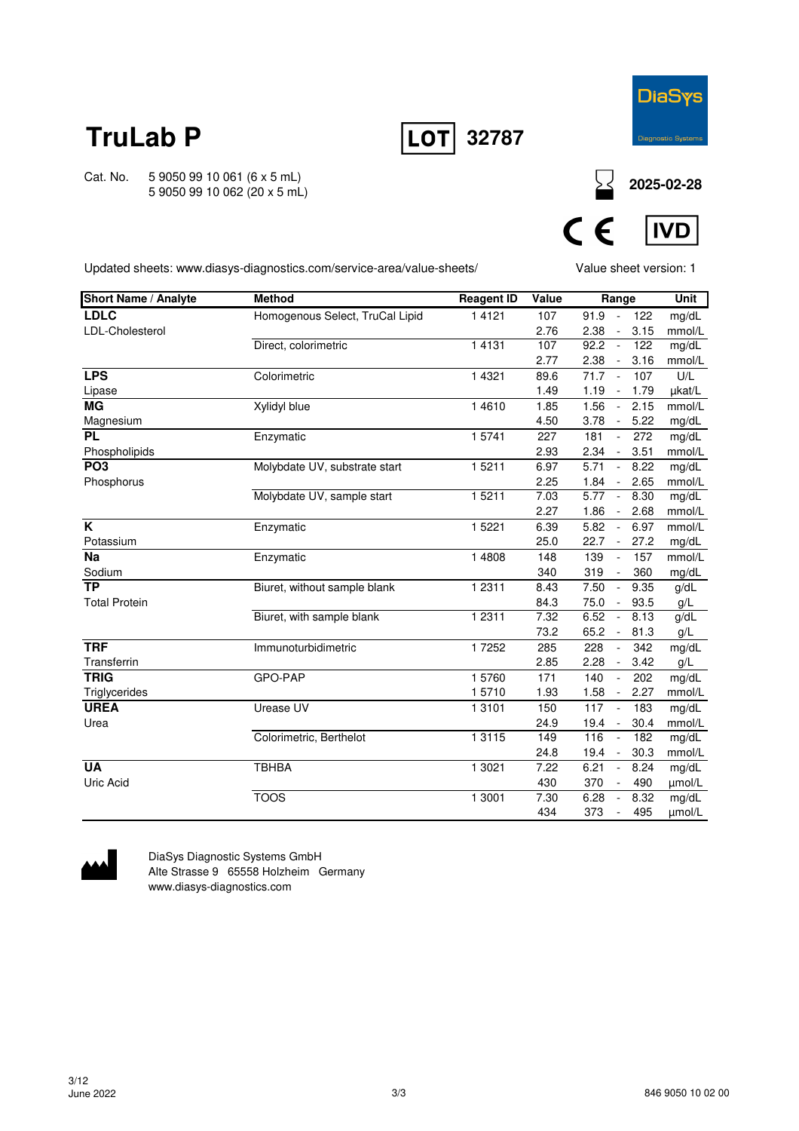



Cat. No. 5 9050 99 10 061 (6 x 5 mL) 5 9050 99 10 062 (20 x 5 mL)





Updated sheets: www.diasys-diagnostics.com/service-area/value-sheets/

Value sheet version: 1

| <b>Short Name / Analyte</b> | <b>Method</b>                   | <b>Reagent ID</b> | Value | Range                                    | <b>Unit</b> |
|-----------------------------|---------------------------------|-------------------|-------|------------------------------------------|-------------|
| <b>LDLC</b>                 | Homogenous Select, TruCal Lipid | 1 4 1 2 1         | 107   | 91.9<br>122<br>$\sim$                    | mg/dL       |
| LDL-Cholesterol             |                                 |                   | 2.76  | 2.38<br>3.15<br>$\blacksquare$           | mmol/L      |
|                             | Direct, colorimetric            | 1 4 1 3 1         | 107   | 92.2<br>122<br>$\overline{\phantom{a}}$  | mg/dL       |
|                             |                                 |                   | 2.77  | 2.38<br>3.16<br>$\sim$                   | mmol/L      |
| <b>LPS</b>                  | Colorimetric                    | 1 4 3 2 1         | 89.6  | 71.7<br>107<br>$\sim$                    | U/L         |
| Lipase                      |                                 |                   | 1.49  | 1.19<br>1.79<br>$\sim$                   | µkat/L      |
| <b>MG</b>                   | Xylidyl blue                    | 1 4 6 1 0         | 1.85  | 1.56<br>2.15<br>$\sim$                   | mmol/L      |
| Magnesium                   |                                 |                   | 4.50  | 3.78<br>5.22<br>$\sim$                   | mg/dL       |
| <b>PL</b>                   | Enzymatic                       | 15741             | 227   | 181<br>272<br>$\blacksquare$             | mg/dL       |
| Phospholipids               |                                 |                   | 2.93  | 2.34<br>3.51<br>$\overline{\phantom{a}}$ | mmol/L      |
| PO <sub>3</sub>             | Molybdate UV, substrate start   | 15211             | 6.97  | 5.71<br>8.22                             | mg/dL       |
| Phosphorus                  |                                 |                   | 2.25  | 1.84<br>2.65<br>$\overline{\phantom{a}}$ | mmol/L      |
|                             | Molybdate UV, sample start      | 1 5 2 1 1         | 7.03  | $\overline{5.77}$<br>8.30<br>$\sim$      | mg/dL       |
|                             |                                 |                   | 2.27  | 1.86<br>2.68<br>$\sim$                   | mmol/L      |
| K                           | Enzymatic                       | 1 5 2 2 1         | 6.39  | 5.82<br>6.97<br>$\blacksquare$           | mmol/L      |
| Potassium                   |                                 |                   | 25.0  | 22.7<br>27.2<br>$\sim$                   | mg/dL       |
| <b>Na</b>                   | Enzymatic                       | 1 4808            | 148   | 157<br>139<br>$\sim$                     | mmol/L      |
| Sodium                      |                                 |                   | 340   | 319<br>360<br>$\overline{\phantom{a}}$   | mg/dL       |
| $\overline{TP}$             | Biuret, without sample blank    | 1 2 3 1 1         | 8.43  | 7.50<br>9.35<br>$\sim$                   | g/dL        |
| <b>Total Protein</b>        |                                 |                   | 84.3  | 75.0<br>93.5<br>$\sim$                   | g/L         |
|                             | Biuret, with sample blank       | 1 2 3 1 1         | 7.32  | 6.52<br>8.13<br>$\sim$                   | g/dL        |
|                             |                                 |                   | 73.2  | 65.2<br>81.3<br>$\blacksquare$           | g/L         |
| <b>TRF</b>                  | Immunoturbidimetric             | 17252             | 285   | 228<br>342<br>$\blacksquare$             | mg/dL       |
| Transferrin                 |                                 |                   | 2.85  | 2.28<br>3.42<br>$\sim$                   | g/L         |
| <b>TRIG</b>                 | GPO-PAP                         | 15760             | 171   | 140<br>202<br>$\sim$                     | mg/dL       |
| Triglycerides               |                                 | 15710             | 1.93  | 1.58<br>2.27<br>$\sim$                   | mmol/L      |
| <b>UREA</b>                 | Urease UV                       | 1 3 1 0 1         | 150   | 117<br>183<br>$\sim$                     | mg/dL       |
| Urea                        |                                 |                   | 24.9  | 30.4<br>19.4<br>$\sim$                   | mmol/L      |
|                             | Colorimetric, Berthelot         | 13115             | 149   | 116<br>182<br>$\sim$                     | mg/dL       |
|                             |                                 |                   | 24.8  | 30.3<br>19.4<br>$\sim$                   | mmol/L      |
| <b>UA</b>                   | <b>TBHBA</b>                    | 1 3021            | 7.22  | 6.21<br>8.24<br>$\overline{\phantom{a}}$ | mg/dL       |
| Uric Acid                   |                                 |                   | 430   | 370<br>490<br>$\blacksquare$             | umol/L      |
|                             | <b>TOOS</b>                     | 1 3001            | 7.30  | 8.32<br>6.28<br>$\sim$                   | mg/dL       |
|                             |                                 |                   | 434   | 373<br>495<br>$\sim$                     | umol/L      |



DiaSys Diagnostic Systems GmbH Alte Strasse 9 65558 Holzheim Germany www.diasys-diagnostics.com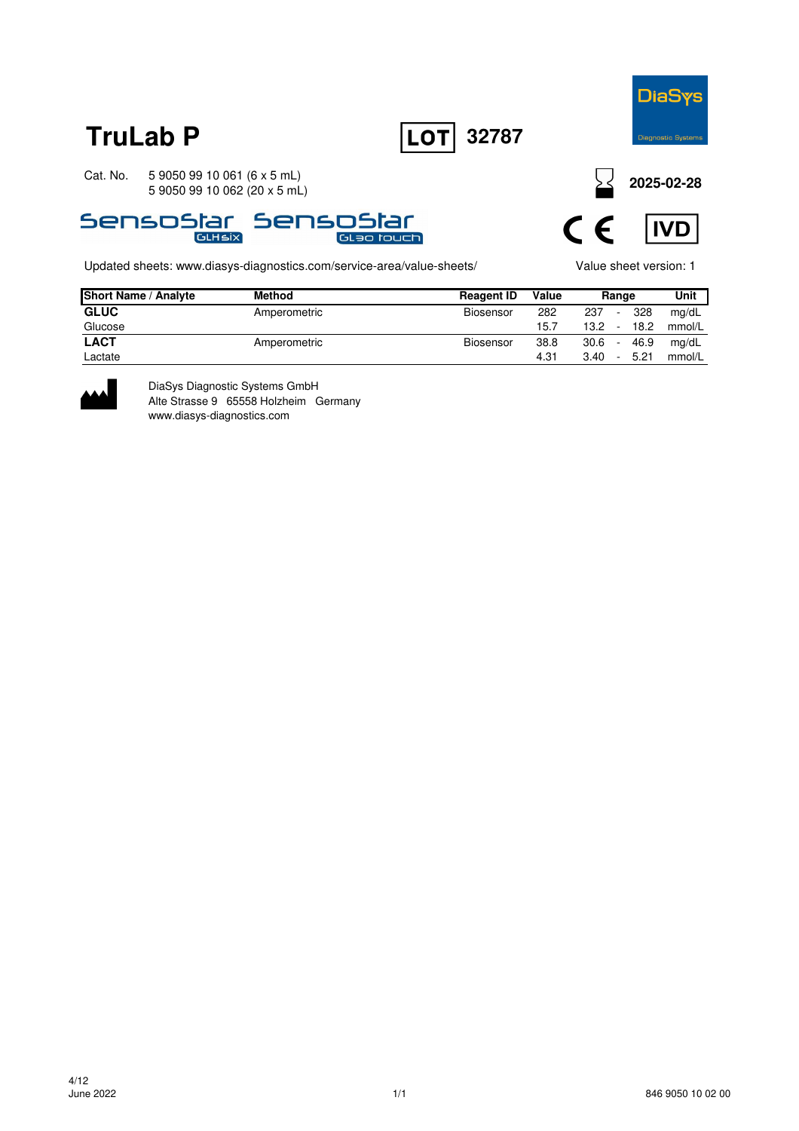





Updated sheets: www.diasys-diagnostics.com/service-area/value-sheets/ Value sheet version: 1

**2025-02-28**



| <b>Short Name / Analyte</b> | <b>Method</b> | <b>Reagent ID</b> | Value | Range |        | Unit           |
|-----------------------------|---------------|-------------------|-------|-------|--------|----------------|
| <b>GLUC</b>                 | Amperometric  | Biosensor         | 282   | 237   | $\sim$ | 328<br>mg/dL   |
| Glucose                     |               |                   | 15.7  | 13.2  | $\sim$ | 18.2<br>mmol/L |
| <b>LACT</b>                 | Amperometric  | Biosensor         | 38.8  | 30.6  |        | mg/dL<br>46.9  |
| Lactate                     |               |                   | 4.31  | 3.40  | -      | 5.21<br>mmol/L |



DiaSys Diagnostic Systems GmbH Alte Strasse 9 65558 Holzheim Germany www.diasys-diagnostics.com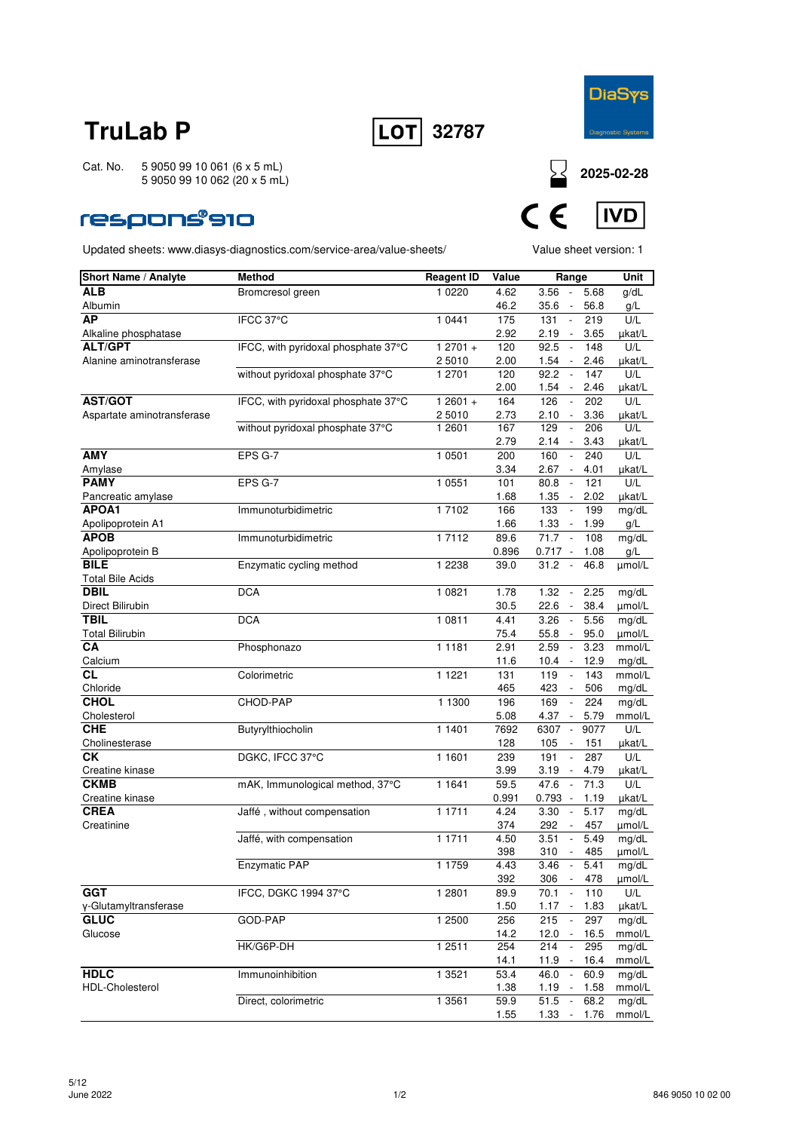



Cat. No. 5 9050 99 10 061 (6 x 5 mL) 5 9050 99 10 062 (20 x 5 mL)

### **respons®910**

Updated sheets: www.diasys-diagnostics.com/service-area/value-sheets/ Value sheet version: 1



| <b>Short Name / Analyte</b> | <b>Method</b>                       | <b>Reagent ID</b> | Value | Range                               |         | Unit   |
|-----------------------------|-------------------------------------|-------------------|-------|-------------------------------------|---------|--------|
| <b>ALB</b>                  | Bromcresol green                    | 1 0 2 2 0         | 4.62  | 3.56<br>$\sim$                      | 5.68    | g/dL   |
| Albumin                     |                                     |                   | 46.2  | 35.6<br>$\sim$                      | 56.8    | g/L    |
| <b>AP</b>                   | IFCC 37°C                           | 1 0441            | 175   | 131<br>$\blacksquare$               | 219     | U/L    |
| Alkaline phosphatase        |                                     |                   | 2.92  | 2.19<br>$\overline{\phantom{a}}$    | 3.65    | µkat/L |
| <b>ALT/GPT</b>              | IFCC, with pyridoxal phosphate 37°C | $12701 +$         | 120   | 92.5<br>$\Box$                      | 148     | U/L    |
| Alanine aminotransferase    |                                     | 2 5010            | 2.00  | 1.54                                | 2.46    | µkat/L |
|                             | without pyridoxal phosphate 37°C    | 1 2701            | 120   | 92.2<br>$\mathcal{L}$               | 147     | U/L    |
|                             |                                     |                   | 2.00  | 1.54<br>$\sim$                      | 2.46    | µkat/L |
| <b>AST/GOT</b>              | IFCC, with pyridoxal phosphate 37°C | $12601 +$         | 164   | 126                                 | 202     | U/L    |
| Aspartate aminotransferase  |                                     | 2 5010            | 2.73  | 2.10<br>$\overline{\phantom{a}}$    | 3.36    | µkat/L |
|                             | without pyridoxal phosphate 37°C    | 1 2601            | 167   | 129<br>$\overline{\phantom{a}}$     | 206     | U/L    |
|                             |                                     |                   | 2.79  | 2.14<br>$\overline{\phantom{a}}$    | 3.43    | µkat/L |
| <b>AMY</b>                  | EPS G-7                             | 1 0501            | 200   | 160<br>$\sim$                       | 240     | U/L    |
| Amylase                     |                                     |                   | 3.34  | $2.67 -$                            | 4.01    | µkat/L |
| <b>PAMY</b>                 | EPS G-7                             | 1 0 5 5 1         | 101   | 80.8<br>$\overline{\phantom{a}}$    | 121     | U/L    |
| Pancreatic amylase          |                                     |                   | 1.68  | 1.35                                | 2.02    | µkat/L |
| APOA1                       | Immunoturbidimetric                 | 1 7102            | 166   | $\overline{\phantom{a}}$<br>133     | 199     | mg/dL  |
| Apolipoprotein A1           |                                     |                   | 1.66  | 1.33<br>$\sim$ $-$                  | 1.99    | g/L    |
| <b>APOB</b>                 | Immunoturbidimetric                 | 1 7112            | 89.6  | 71.7<br>$\sim$                      | 108     | mg/dL  |
| Apolipoprotein B            |                                     |                   | 0.896 | $0.717 -$                           | 1.08    | g/L    |
| <b>BILE</b>                 | Enzymatic cycling method            | 1 2 2 3 8         | 39.0  | 31.2<br>$\overline{\phantom{a}}$    | 46.8    | µmol/L |
| <b>Total Bile Acids</b>     |                                     |                   |       |                                     |         |        |
| <b>DBIL</b>                 | <b>DCA</b>                          | 1 0 8 2 1         | 1.78  | 1.32<br>$\sim$                      | 2.25    | mg/dL  |
| Direct Bilirubin            |                                     |                   | 30.5  | 22.6<br>$\sim$                      | 38.4    | µmol/L |
| <b>TBIL</b>                 | <b>DCA</b>                          | 1 0811            | 4.41  | 3.26<br>$\overline{\phantom{a}}$    | 5.56    | mg/dL  |
| <b>Total Bilirubin</b>      |                                     |                   | 75.4  | 55.8<br>$\overline{\phantom{a}}$    | 95.0    | umol/L |
| СA                          | Phosphonazo                         | 1 1 1 8 1         | 2.91  | 2.59<br>$\mathcal{L}_{\mathcal{A}}$ | 3.23    | mmol/L |
| Calcium                     |                                     |                   | 11.6  | 10.4<br>$\sim$                      | 12.9    | mg/dL  |
| СL                          | Colorimetric                        | 1 1 2 2 1         | 131   | 119<br>$\overline{\phantom{a}}$     | 143     | mmol/L |
| Chloride                    |                                     |                   | 465   | 423<br>$\overline{\phantom{a}}$     | 506     | mg/dL  |
| <b>CHOL</b>                 | CHOD-PAP                            | 1 1300            | 196   | 169<br>$\Box$                       | 224     | mg/dL  |
| Cholesterol                 |                                     |                   | 5.08  | 4.37                                | 5.79    | mmol/L |
| <b>CHE</b>                  | Butyrylthiocholin                   | 1 1401            | 7692  | 6307<br>$\sim$                      | 9077    | U/L    |
| Cholinesterase              |                                     |                   | 128   | 105<br>$\overline{\phantom{a}}$     | 151     | µkat/L |
| СK                          | DGKC, IFCC 37°C                     | 1 1601            | 239   | 191<br>$\overline{\phantom{a}}$     | 287     | U/L    |
| Creatine kinase             |                                     |                   | 3.99  | 3.19                                | 4.79    | µkat/L |
| <b>CKMB</b>                 | mAK, Immunological method, 37°C     | 1 1 6 4 1         | 59.5  | 47.6<br>$\overline{\phantom{a}}$    | 71.3    | U/L    |
| Creatine kinase             |                                     |                   | 0.991 | $0.793 -$                           | 1.19    | µkat/L |
| <b>CREA</b>                 | Jaffé, without compensation         | 1 1711            | 4.24  | 3.30<br>$\overline{\phantom{a}}$    | 5.17    | mg/dL  |
| Creatinine                  |                                     |                   | 374   | 292<br>$\overline{\phantom{a}}$     | 457     | µmol/L |
|                             | Jaffé, with compensation            | 1 1711            | 4.50  | 3.51<br>$\overline{\phantom{a}}$    | 5.49    | mg/dL  |
|                             |                                     |                   | 398   | 310                                 | 485     | µmol/L |
|                             | Enzymatic PAP                       | 1 1759            | 4.43  | 3.46<br>$\overline{\phantom{a}}$    | 5.41    | mg/dL  |
|                             |                                     |                   | 392   | 306 - 478                           |         | µmol/L |
| <b>GGT</b>                  | IFCC, DGKC 1994 37°C                | 1 2 8 0 1         | 89.9  | 70.1                                | 110     | U/L    |
| γ-Glutamyltransferase       |                                     |                   | 1.50  | $1.17 -$                            | 1.83    | µkat/L |
| <b>GLUC</b>                 | GOD-PAP                             | 1 2500            | 256   | 215<br>$\Box$                       | 297     | mg/dL  |
| Glucose                     |                                     |                   | 14.2  | 12.0<br>$\sim$                      | 16.5    | mmol/L |
|                             | HK/G6P-DH                           | 1 2511            | 254   | 214<br>$\sim$                       | 295     | mg/dL  |
|                             |                                     |                   | 14.1  | $11.9 -$                            | 16.4    | mmol/L |
| <b>HDLC</b>                 | Immunoinhibition                    | 1 3521            | 53.4  | 46.0<br>$\sim$                      | 60.9    | mg/dL  |
| HDL-Cholesterol             |                                     |                   | 1.38  | 1.19<br>$\sim$                      | 1.58    | mmol/L |
|                             | Direct, colorimetric                | 1 3 5 6 1         | 59.9  | 51.5<br>$\sim$                      | 68.2    | mg/dL  |
|                             |                                     |                   | 1.55  | 1.33                                | $-1.76$ | mmol/L |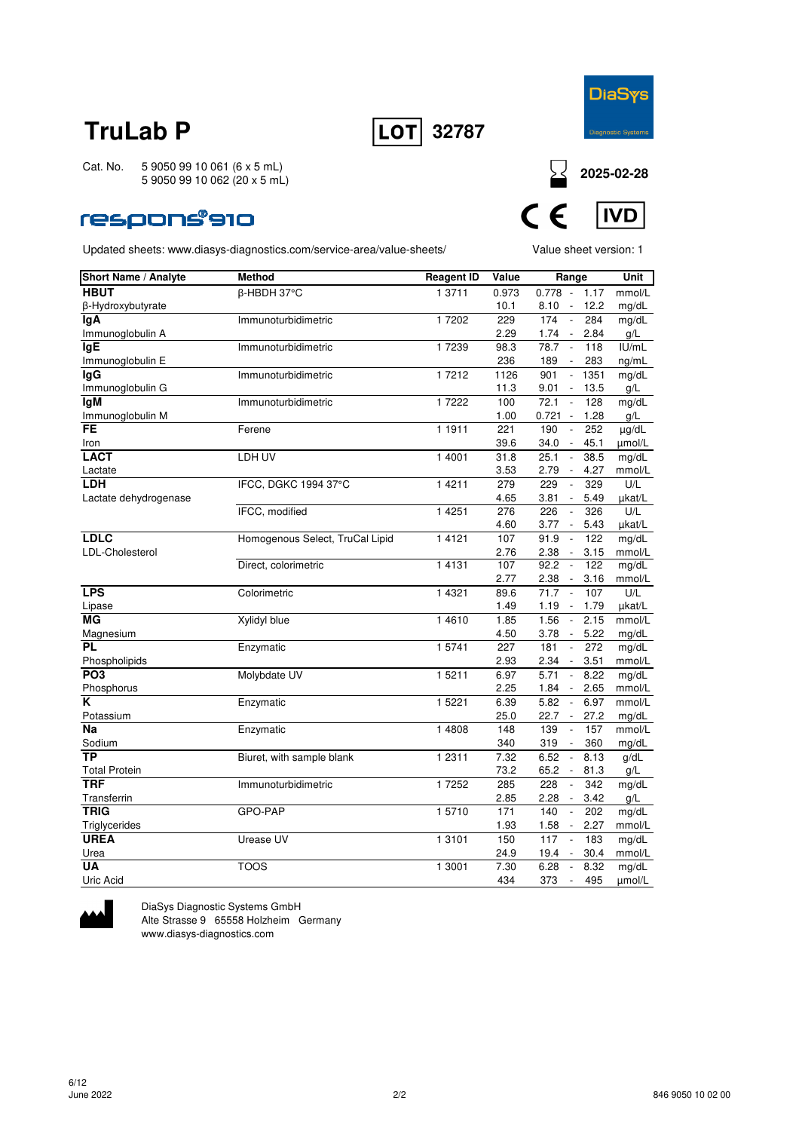



**2025-02-28**

**IVD** 

Cat. No. 5 9050 99 10 061 (6 x 5 mL) 5 9050 99 10 062 (20 x 5 mL)

### respons®910

Updated sheets: www.diasys-diagnostics.com/service-area/value-sheets/ Value sheet version: 1

| Short Name / Analyte  | <b>Method</b>                   | <b>Reagent ID</b> | Value | Range                             |      | Unit       |
|-----------------------|---------------------------------|-------------------|-------|-----------------------------------|------|------------|
| <b>HBUT</b>           | β-HBDH 37°C                     | 1 3711            | 0.973 | 0.778<br>$\sim$                   | 1.17 | mmol/L     |
| β-Hydroxybutyrate     |                                 |                   | 10.1  | 8.10<br>$\overline{\phantom{a}}$  | 12.2 | mg/dL      |
| <b>IgA</b>            | Immunoturbidimetric             | 17202             | 229   | 174<br>$\overline{a}$             | 284  | mg/dL      |
| Immunoglobulin A      |                                 |                   | 2.29  | 1.74<br>$\sim$                    | 2.84 | g/L        |
| <b>IgE</b>            | Immunoturbidimetric             | 17239             | 98.3  | 78.7<br>$\overline{\phantom{a}}$  | 118  | IUI/mL     |
| Immunoglobulin E      |                                 |                   | 236   | 189<br>$\overline{\phantom{a}}$   | 283  | ng/mL      |
| <b>IgG</b>            | Immunoturbidimetric             | 17212             | 1126  | 901<br>$\overline{\phantom{a}}$   | 1351 | mg/dL      |
| Immunoglobulin G      |                                 |                   | 11.3  | 9.01<br>$\overline{\phantom{a}}$  | 13.5 | g/L        |
| <b>IgM</b>            | Immunoturbidimetric             | 17222             | 100   | 72.1<br>$\overline{\phantom{a}}$  | 128  | mg/dL      |
| Immunoglobulin M      |                                 |                   | 1.00  | 0.721<br>$\overline{\phantom{a}}$ | 1.28 | g/L        |
| <b>FE</b>             | Ferene                          | 1 1911            | 221   | 190<br>$\sim$                     | 252  | $\mu$ g/dL |
| Iron                  |                                 |                   | 39.6  | 34.0<br>$\overline{\phantom{a}}$  | 45.1 | µmol/L     |
| <b>LACT</b>           | LDH UV                          | 1 4001            | 31.8  | 25.1<br>$\overline{\phantom{a}}$  | 38.5 | mg/dL      |
| Lactate               |                                 |                   | 3.53  | 2.79<br>$\overline{\phantom{a}}$  | 4.27 | mmol/L     |
| <b>LDH</b>            | IFCC, DGKC 1994 37°C            | 1 4 2 1 1         | 279   | 229<br>$\overline{\phantom{a}}$   | 329  | U/L        |
| Lactate dehydrogenase |                                 |                   | 4.65  | 3.81<br>$\overline{\phantom{a}}$  | 5.49 | µkat/L     |
|                       | IFCC, modified                  | 1 4 2 5 1         | 276   | 226<br>$\overline{\phantom{a}}$   | 326  | U/L        |
|                       |                                 |                   | 4.60  | 3.77                              | 5.43 | µkat/L     |
| <b>LDLC</b>           | Homogenous Select, TruCal Lipid | 1 4 1 2 1         | 107   | 91.9<br>$\mathbb{Z}$              | 122  | mg/dL      |
| LDL-Cholesterol       |                                 |                   | 2.76  | 2.38<br>$\overline{\phantom{a}}$  | 3.15 | mmol/L     |
|                       | Direct, colorimetric            | 14131             | 107   | 92.2<br>$\sim$                    | 122  | mg/dL      |
|                       |                                 |                   | 2.77  | 2.38<br>$\sim$                    | 3.16 | mmol/L     |
| <b>LPS</b>            | Colorimetric                    | 1 4 3 2 1         | 89.6  | 71.7<br>$\sim$                    | 107  | U/L        |
| Lipase                |                                 |                   | 1.49  | 1.19<br>$\sim$                    | 1.79 | µkat/L     |
| МG                    | Xylidyl blue                    | 1 46 10           | 1.85  | 1.56<br>$\overline{\phantom{a}}$  | 2.15 | mmol/L     |
| Magnesium             |                                 |                   | 4.50  | 3.78<br>$\overline{\phantom{a}}$  | 5.22 | mg/dL      |
| <b>PL</b>             | Enzymatic                       | 1 5741            | 227   | $\Box$<br>181                     | 272  | mg/dL      |
| Phospholipids         |                                 |                   | 2.93  | 2.34<br>$\overline{\phantom{a}}$  | 3.51 | mmol/L     |
| PO <sub>3</sub>       | Molybdate UV                    | 1 5 2 1 1         | 6.97  | 5.71<br>$\overline{\phantom{a}}$  | 8.22 | mg/dL      |
| Phosphorus            |                                 |                   | 2.25  | $1.84 -$                          | 2.65 | mmol/L     |
| ĸ                     | Enzymatic                       | 1 5 2 2 1         | 6.39  | 5.82<br>$\sim$                    | 6.97 | mmol/L     |
| Potassium             |                                 |                   | 25.0  | 22.7<br>$\sim$                    | 27.2 | mg/dL      |
| Na                    | Enzymatic                       | 1 4808            | 148   | 139<br>$\overline{\phantom{a}}$   | 157  | mmol/L     |
| Sodium                |                                 |                   | 340   | 319<br>$\overline{\phantom{a}}$   | 360  | mg/dL      |
| TP                    | Biuret, with sample blank       | 1 2 3 1 1         | 7.32  | 6.52<br>$\overline{\phantom{a}}$  | 8.13 | g/dL       |
| <b>Total Protein</b>  |                                 |                   | 73.2  | 65.2<br>$\sim$                    | 81.3 | g/L        |
| <b>TRF</b>            | Immunoturbidimetric             | 1 7252            | 285   | 228<br>$\overline{\phantom{a}}$   | 342  | mg/dL      |
| Transferrin           |                                 |                   | 2.85  | 2.28<br>$\sim$                    | 3.42 | g/L        |
| <b>TRIG</b>           | GPO-PAP                         | 15710             | 171   | 140<br>$\overline{\phantom{a}}$   | 202  | mg/dL      |
| Triglycerides         |                                 |                   | 1.93  | 1.58<br>$\overline{\phantom{a}}$  | 2.27 | mmol/L     |
| <b>UREA</b>           | Urease UV                       | 1 3 1 0 1         | 150   | 117<br>$\overline{\phantom{a}}$   | 183  | mg/dL      |
| Urea                  |                                 |                   | 24.9  | 19.4                              | 30.4 | mmol/L     |
| <b>UA</b>             | <b>TOOS</b>                     | 1 3001            | 7.30  | 6.28<br>$\overline{\phantom{a}}$  | 8.32 | mg/dL      |
| Uric Acid             |                                 |                   | 434   | 373<br>$\overline{\phantom{a}}$   | 495  | µmol/L     |



DiaSys Diagnostic Systems GmbH Alte Strasse 9 65558 Holzheim Germany www.diasys-diagnostics.com



 $\epsilon$ 

 $\epsilon$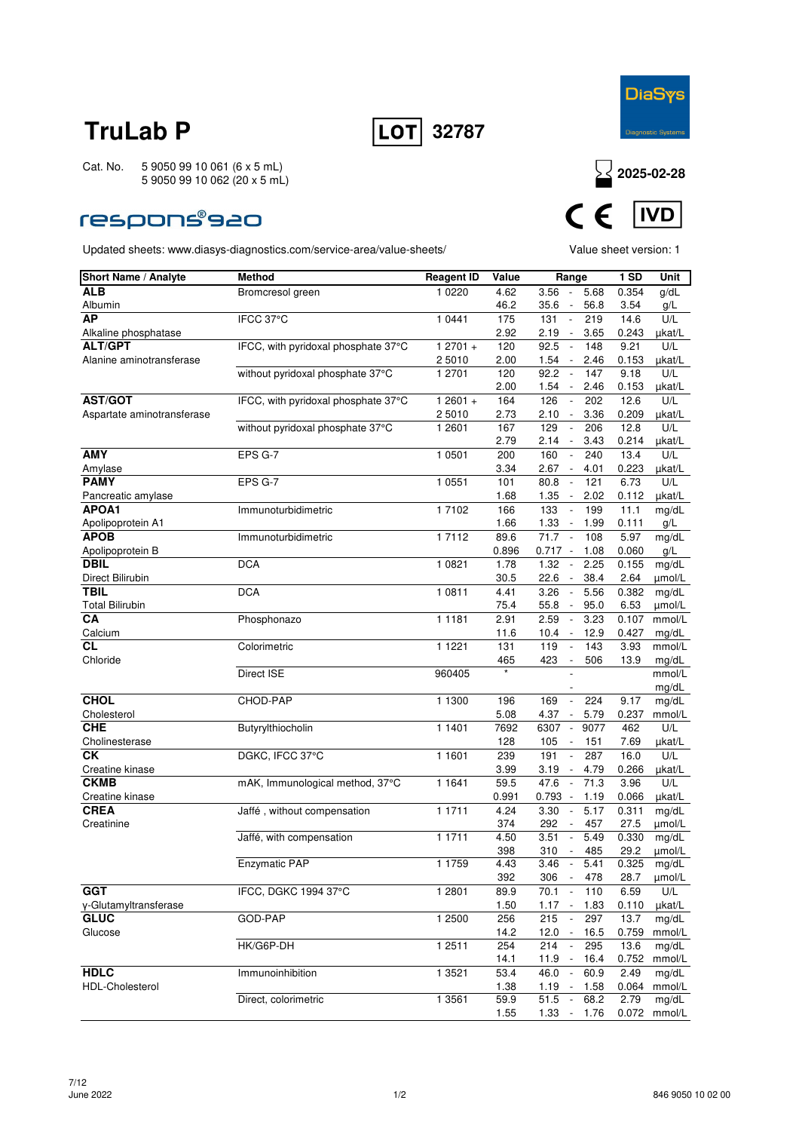



### **respons®s20**

Updated sheets: www.diasys-diagnostics.com/service-area/value-sheets/ Value sheet version: 1



| Short Name / Analyte       | <b>Method</b>                       | <b>Reagent ID</b>  | Value       | Range                                                                              | <b>1 SD</b>   | Unit          |
|----------------------------|-------------------------------------|--------------------|-------------|------------------------------------------------------------------------------------|---------------|---------------|
| ALB                        | Bromcresol green                    | 1 0 2 2 0          | 4.62        | 3.56<br>5.68<br>$\sim$                                                             | 0.354         | g/dL          |
| Albumin                    |                                     |                    | 46.2        | 35.6<br>56.8<br>$\overline{\phantom{a}}$                                           | 3.54          | g/L           |
| <b>AP</b>                  | IFCC 37°C                           | 1 0441             | 175         | 131<br>$\mathbb{L}$<br>219                                                         | 14.6          | U/L           |
| Alkaline phosphatase       |                                     |                    | 2.92        | 2.19<br>3.65<br>$\sim$                                                             | 0.243         | µkat/L        |
| <b>ALT/GPT</b>             | IFCC, with pyridoxal phosphate 37°C | $12701 +$          | 120         | 92.5<br>148<br>$\overline{\phantom{a}}$                                            | 9.21          | U/L           |
| Alanine aminotransferase   |                                     | 2 5010             | 2.00        | 1.54<br>2.46<br>$\overline{\phantom{a}}$                                           | 0.153         | µkat/L        |
|                            | without pyridoxal phosphate 37°C    | 1 2701             | 120         | 92.2<br>147                                                                        | 9.18          | U/L           |
| <b>AST/GOT</b>             | IFCC, with pyridoxal phosphate 37°C | $12601 +$          | 2.00<br>164 | 1.54<br>2.46<br>$\overline{\phantom{a}}$<br>126<br>202<br>$\overline{\phantom{a}}$ | 0.153<br>12.6 | µkat/L<br>U/L |
| Aspartate aminotransferase |                                     | 2 5010             | 2.73        | 3.36<br>2.10<br>$\overline{\phantom{a}}$                                           | 0.209         | µkat/L        |
|                            | without pyridoxal phosphate 37°C    | 1 2601             | 167         | 129<br>206<br>$\overline{\phantom{a}}$                                             | 12.8          | U/L           |
|                            |                                     |                    | 2.79        | 2.14<br>3.43<br>$\overline{\phantom{a}}$                                           | 0.214         | µkat/L        |
| <b>AMY</b>                 | EPS G-7                             | 1 0501             | 200         | 160<br>240<br>$\overline{\phantom{a}}$                                             | 13.4          | U/L           |
| Amylase                    |                                     |                    | 3.34        | 2.67<br>4.01<br>$\sim$                                                             | 0.223         | µkat/L        |
| <b>PAMY</b>                | EPS G-7                             | 1 0 5 5 1          | 101         | 80.8<br>121<br>$\overline{\phantom{a}}$                                            | 6.73          | U/L           |
| Pancreatic amylase         |                                     |                    | 1.68        | 1.35<br>2.02<br>$\overline{\phantom{a}}$                                           | 0.112         | µkat/L        |
| APOA1                      | Immunoturbidimetric                 | 17102              | 166         | 133<br>199                                                                         | 11.1          | mg/dL         |
| Apolipoprotein A1          |                                     |                    | 1.66        | 1.33<br>1.99<br>$\overline{\phantom{a}}$                                           | 0.111         | g/L           |
| <b>APOB</b>                | Immunoturbidimetric                 | $\frac{1}{1}$ 7112 | 89.6        | 71.7<br>108<br>$\sim$                                                              | 5.97          | mg/dL         |
| Apolipoprotein B           |                                     |                    | 0.896       | 0.717 -<br>1.08                                                                    | 0.060         | g/L           |
| <b>DBIL</b>                | <b>DCA</b>                          | 1 0821             | 1.78        | 1.32<br>2.25<br>$\overline{\phantom{a}}$                                           | 0.155         | mg/dL         |
| Direct Bilirubin           |                                     |                    | 30.5        | 22.6<br>38.4<br>$\overline{\phantom{a}}$                                           | 2.64          | umol/L        |
| <b>TBIL</b>                | <b>DCA</b>                          | 1 0811             | 4.41        | 5.56<br>3.26<br>$\overline{\phantom{a}}$                                           | 0.382         | mg/dL         |
| <b>Total Bilirubin</b>     |                                     |                    | 75.4        | 55.8<br>95.0<br>$\overline{\phantom{a}}$                                           | 6.53          | µmol/L        |
| CA                         | Phosphonazo                         | 11181              | 2.91        | 2.59<br>3.23<br>$\overline{\phantom{a}}$                                           | 0.107         | mmol/L        |
| Calcium                    |                                     |                    | 11.6        | 12.9<br>10.4<br>$\sim$                                                             | 0.427         | mg/dL         |
| <b>CL</b>                  | Colorimetric                        | 1 1 2 2 1          | 131         | 119<br>143                                                                         | 3.93          | mmol/L        |
| Chloride                   |                                     |                    | 465         | 423<br>506<br>$\overline{\phantom{a}}$                                             | 13.9          | mg/dL         |
|                            | Direct ISE                          | 960405             |             |                                                                                    |               | mmol/L        |
|                            |                                     |                    |             |                                                                                    |               | mg/dL         |
| <b>CHOL</b>                | CHOD-PAP                            | 1 1300             | 196         | 224<br>169<br>$\overline{\phantom{a}}$                                             | 9.17          | mg/dL         |
| Cholesterol<br><b>CHE</b>  |                                     |                    | 5.08        | 4.37<br>5.79<br>$\overline{\phantom{a}}$                                           | 0.237         | mmol/L        |
|                            | Butyrylthiocholin                   | 11401              | 7692<br>128 | 6307<br>9077<br>$\overline{\phantom{a}}$<br>105                                    | 462           | U/L           |
| Cholinesterase<br>СK       | DGKC, IFCC 37°C                     | 1 1601             | 239         | 151<br>$\overline{\phantom{a}}$<br>287<br>191<br>$\overline{\phantom{a}}$          | 7.69<br>16.0  | µkat/L<br>U/L |
| Creatine kinase            |                                     |                    | 3.99        | 4.79<br>3.19<br>$\overline{\phantom{a}}$                                           | 0.266         | µkat/L        |
| <b>CKMB</b>                | mAK, Immunological method, 37°C     | 1 1 6 4 1          | 59.5        | 47.6<br>71.3                                                                       | 3.96          | U/L           |
| Creatine kinase            |                                     |                    | 0.991       | 0.793<br>1.19<br>$\overline{\phantom{a}}$                                          | 0.066         | µkat/L        |
| <b>CREA</b>                | Jaffé, without compensation         | 1 1711             | 4.24        | 3.30<br>5.17<br>$\overline{\phantom{a}}$                                           | 0.311         | mg/dL         |
| Creatinine                 |                                     |                    | 374         | 292<br>457<br>$\overline{\phantom{a}}$                                             | 27.5          | µmol/L        |
|                            | Jaffé, with compensation            | 1 1711             | 4.50        | 3.51<br>5.49                                                                       | 0.330         | mg/dL         |
|                            |                                     |                    | 398         | 310<br>485<br>$\overline{\phantom{a}}$                                             | 29.2          | µmol/L        |
|                            | <b>Enzymatic PAP</b>                | 1 1759             | 4.43        | 3.46<br>5.41<br>$\overline{\phantom{a}}$                                           | 0.325         | mg/dL         |
|                            |                                     |                    | 392         | 306<br>478<br>$\sim$                                                               | 28.7          | $\mu$ mol/L   |
| <b>GGT</b>                 | IFCC, DGKC 1994 37°C                | 1 2 8 0 1          | 89.9        | 70.1<br>$\sim$<br>110                                                              | 6.59          | U/L           |
| y-Glutamyltransferase      |                                     |                    | 1.50        | $1.17 -$<br>1.83                                                                   | 0.110         | µkat/L        |
| <b>GLUC</b>                | GOD-PAP                             | 1 2500             | 256         | 215<br>297<br>$\overline{\phantom{a}}$                                             | 13.7          | mg/dL         |
| Glucose                    |                                     |                    | 14.2        | 12.0<br>16.5<br>$\overline{\phantom{a}}$                                           | 0.759         | mmol/L        |
|                            | HK/G6P-DH                           | 1 2511             | 254         | 214<br>295<br>$\overline{\phantom{a}}$                                             | 13.6          | mg/dL         |
|                            |                                     |                    | 14.1        | 11.9<br>16.4                                                                       | 0.752         | mmol/L        |
| <b>HDLC</b>                | Immunoinhibition                    | 1 3 5 2 1          | 53.4        | 46.0<br>$\sim$<br>60.9                                                             | 2.49          | mg/dL         |
| HDL-Cholesterol            |                                     |                    | 1.38        | $1.19 -$<br>1.58                                                                   | 0.064         | mmol/L        |
|                            | Direct, colorimetric                | 1 3561             | 59.9        | 51.5<br>68.2<br>$\sim$                                                             | 2.79          | mg/dL         |
|                            |                                     |                    | 1.55        | 1.33<br>1.76<br>$\overline{\phantom{a}}$                                           | 0.072         | mmol/L        |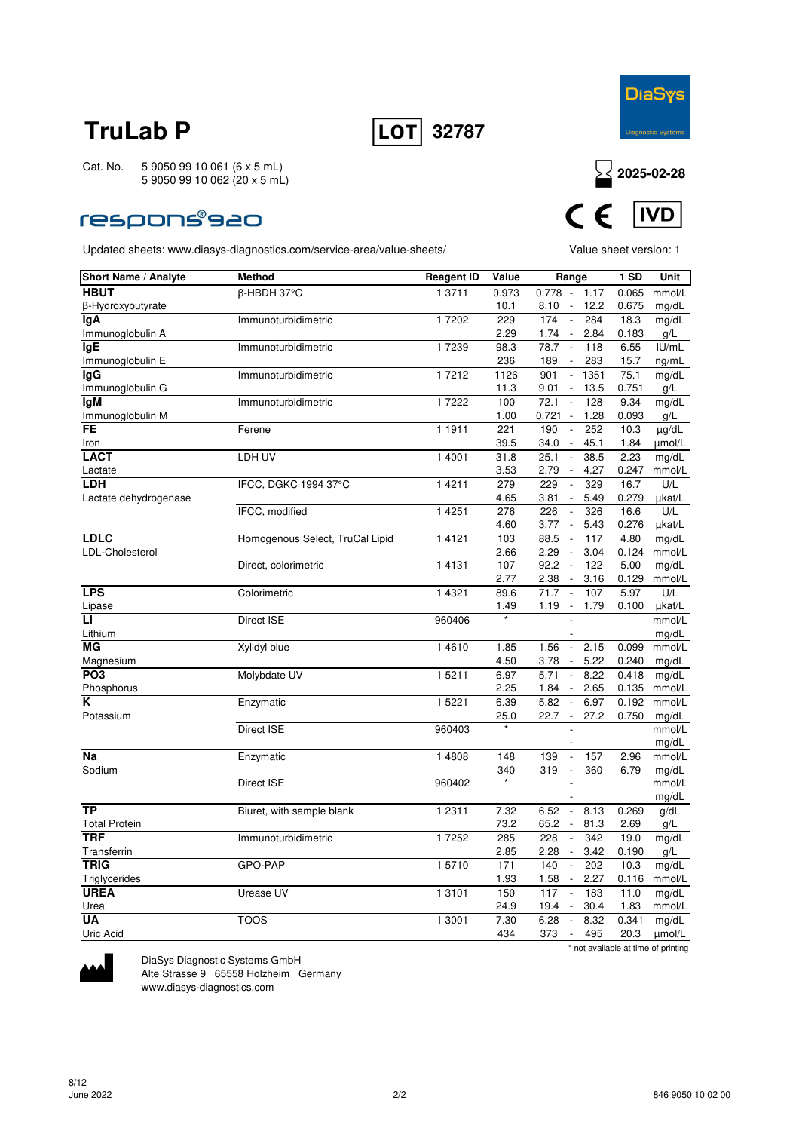



### **respons®s20**

Updated sheets: www.diasys-diagnostics.com/service-area/value-sheets/ Value sheet version: 1



| Short Name / Analyte  | <b>Method</b>                   | <b>Reagent ID</b>   | Value | Range                                                   | 1 SD  | Unit            |
|-----------------------|---------------------------------|---------------------|-------|---------------------------------------------------------|-------|-----------------|
| <b>HBUT</b>           | β-HBDH 37°C                     | 1 3711              | 0.973 | $0.778 -$<br>1.17                                       | 0.065 | mmol/L          |
| β-Hydroxybutyrate     |                                 |                     | 10.1  | 12.2<br>8.10<br>$\overline{\phantom{a}}$                | 0.675 | mg/dL           |
| lgA                   | Immunoturbidimetric             | 1 7202              | 229   | 174<br>284<br>$\overline{\phantom{a}}$                  | 18.3  | mg/dL           |
| Immunoglobulin A      |                                 |                     | 2.29  | 1.74<br>2.84<br>$\overline{\phantom{a}}$                | 0.183 | g/L             |
| lgE                   | Immunoturbidimetric             | 1 7239              | 98.3  | 78.7<br>118<br>$\sim$                                   | 6.55  | IU/mL           |
| Immunoglobulin E      |                                 |                     | 236   | 189<br>283<br>$\overline{\phantom{a}}$                  | 15.7  | ng/mL           |
| lgG                   | Immunoturbidimetric             | 1 7212              | 1126  | 901<br>1351<br>$\overline{\phantom{a}}$                 | 75.1  | mg/dL           |
| Immunoglobulin G      |                                 |                     | 11.3  | 9.01<br>13.5<br>$\overline{\phantom{a}}$                | 0.751 | g/L             |
| <b>IgM</b>            | Immunoturbidimetric             | 1 7222              | 100   | 72.1<br>128<br>$\overline{\phantom{a}}$                 | 9.34  | mg/dL           |
| Immunoglobulin M      |                                 |                     | 1.00  | 0.721<br>1.28<br>$\overline{\phantom{a}}$               | 0.093 | g/L             |
| FE                    | Ferene                          | 1 1911              | 221   | 190<br>252                                              | 10.3  | $\mu$ g/dL      |
| Iron                  |                                 |                     | 39.5  | 34.0<br>45.1<br>$\overline{\phantom{a}}$                | 1.84  | umol/L          |
| <b>LACT</b>           | LDH UV                          | 1 4001              | 31.8  | 25.1<br>38.5<br>$\overline{\phantom{a}}$                | 2.23  | mg/dL           |
| Lactate               |                                 |                     | 3.53  | 2.79<br>4.27<br>$\overline{\phantom{a}}$                | 0.247 | mmol/L          |
| <b>LDH</b>            | IFCC, DGKC 1994 37°C            | 14211               | 279   | 229<br>329<br>$\overline{\phantom{a}}$                  | 16.7  | U/L             |
| Lactate dehydrogenase |                                 |                     | 4.65  | 3.81<br>$\overline{\phantom{a}}$<br>5.49                | 0.279 | µkat/L          |
|                       | IFCC, modified                  | 1 4 2 5 1           | 276   | 226<br>326<br>$\Box$                                    | 16.6  | U/L             |
|                       |                                 |                     | 4.60  | 3.77<br>5.43<br>$\overline{\phantom{a}}$                | 0.276 | µkat/L          |
| <b>LDLC</b>           | Homogenous Select, TruCal Lipid | 1 4 1 2 1           | 103   | 88.5<br>117<br>$\overline{\phantom{a}}$                 | 4.80  | mg/dL           |
| LDL-Cholesterol       |                                 |                     | 2.66  | 2.29<br>3.04<br>$\overline{\phantom{a}}$                | 0.124 | mmol/L          |
|                       | Direct, colorimetric            | 1 4 1 3 1           | 107   | 92.2<br>122<br>$\overline{\phantom{a}}$                 | 5.00  | mg/dL           |
|                       |                                 |                     | 2.77  | 2.38<br>3.16<br>$\overline{\phantom{a}}$                | 0.129 | mmol/L          |
| <b>LPS</b>            | Colorimetric                    | 1 4 3 2 1           | 89.6  | 107<br>71.7                                             | 5.97  | U/L             |
| Lipase                |                                 |                     | 1.49  | 1.19<br>1.79<br>$\sim$                                  | 0.100 | µkat/L          |
| П                     | Direct ISE                      | 960406              |       |                                                         |       | mmol/L          |
| Lithium               |                                 |                     |       |                                                         |       | mg/dL           |
| МG                    | Xylidyl blue                    | 1 4 6 1 0           | 1.85  | 1.56<br>2.15<br>$\overline{\phantom{a}}$                | 0.099 | mmol/L          |
| Magnesium             |                                 |                     | 4.50  | 5.22<br>3.78<br>$\overline{\phantom{a}}$                | 0.240 | mg/dL           |
| PO <sub>3</sub>       | Molybdate UV                    | 1 5211              | 6.97  | 5.71<br>8.22<br>$\blacksquare$                          | 0.418 | mg/dL           |
| Phosphorus            |                                 |                     | 2.25  | 1.84<br>2.65<br>$\overline{\phantom{a}}$                | 0.135 | mmol/L          |
| K                     | Enzymatic                       | 1 5221              | 6.39  | 5.82<br>6.97<br>$\overline{\phantom{a}}$                | 0.192 | mmol/L          |
| Potassium             |                                 |                     | 25.0  | 22.7<br>$\sim$<br>27.2                                  | 0.750 | mg/dL           |
|                       | <b>Direct ISE</b>               | 960403              |       |                                                         |       | mmol/L          |
|                       |                                 |                     |       |                                                         |       | mg/dL           |
| Na                    | Enzymatic                       | 1 4808              | 148   | 139<br>157<br>$\frac{1}{2}$<br>$\overline{\phantom{a}}$ | 2.96  | mmol/L          |
| Sodium                | Direct ISE                      | 960402              | 340   | 319<br>360                                              | 6.79  | mg/dL<br>mmol/L |
|                       |                                 |                     |       |                                                         |       |                 |
| <b>TP</b>             | Biuret, with sample blank       | $\overline{1}$ 2311 | 7.32  | 6.52<br>8.13<br>$\overline{\phantom{a}}$                | 0.269 | mg/dL<br>g/dL   |
| <b>Total Protein</b>  |                                 |                     | 73.2  | 65.2<br>81.3<br>$\overline{\phantom{a}}$                | 2.69  | g/L             |
| <b>TRF</b>            | Immunoturbidimetric             | 17252               | 285   | 228<br>342<br>$\overline{\phantom{a}}$                  | 19.0  |                 |
| Transferrin           |                                 |                     | 2.85  | 2.28<br>3.42<br>$\Box$                                  | 0.190 | mg/dL<br>g/L    |
| <b>TRIG</b>           | GPO-PAP                         | 15710               | 171   | 140<br>202<br>$\overline{\phantom{a}}$                  | 10.3  | mg/dL           |
| Triglycerides         |                                 |                     | 1.93  | 1.58<br>2.27<br>$\overline{\phantom{a}}$                | 0.116 | mmol/L          |
| <b>UREA</b>           | Urease UV                       | 1 3 1 0 1           | 150   | 117<br>183<br>$\overline{\phantom{a}}$                  | 11.0  | mg/dL           |
| Urea                  |                                 |                     | 24.9  | 19.4<br>30.4<br>$\overline{\phantom{a}}$                | 1.83  | mmol/L          |
| UA                    | <b>TOOS</b>                     | 1 3001              | 7.30  | 6.28<br>8.32<br>$\overline{\phantom{a}}$                | 0.341 | mg/dL           |
| Uric Acid             |                                 |                     | 434   | 495<br>373<br>$\overline{\phantom{a}}$                  | 20.3  | umol/L          |
|                       |                                 |                     |       |                                                         |       |                 |

\* not available at time of printing



DiaSys Diagnostic Systems GmbH Alte Strasse 9 65558 Holzheim Germany

www.diasys-diagnostics.com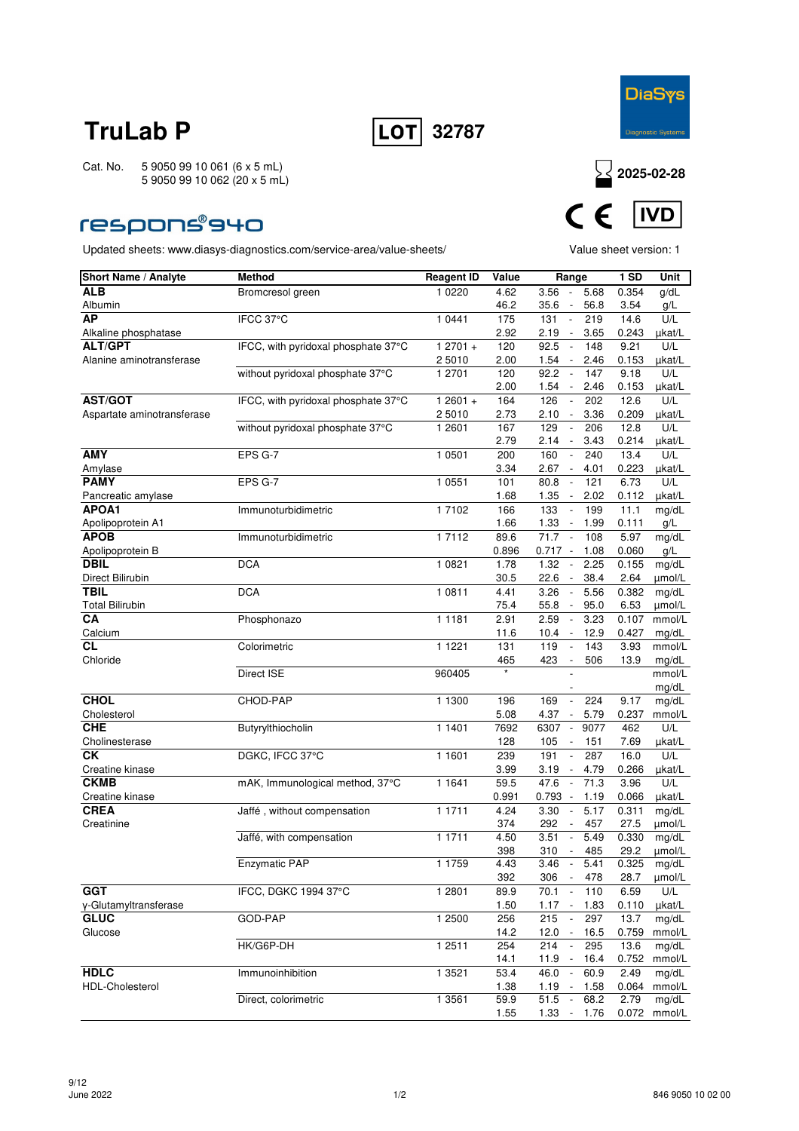



### **respons®940**

Updated sheets: www.diasys-diagnostics.com/service-area/value-sheets/ Value sheet version: 1



| <b>Short Name / Analyte</b> | <b>Method</b>                       | <b>Reagent ID</b> | Value       | Range                                                            | <b>1 SD</b>   | Unit            |
|-----------------------------|-------------------------------------|-------------------|-------------|------------------------------------------------------------------|---------------|-----------------|
| <b>ALB</b>                  | Bromcresol green                    | 1 0 2 2 0         | 4.62        | $3.56 -$<br>5.68                                                 | 0.354         | g/dL            |
| Albumin                     |                                     |                   | 46.2        | 35.6<br>56.8<br>$\overline{\phantom{a}}$                         | 3.54          | g/L             |
| <b>AP</b>                   | IFCC 37°C                           | 1 0 4 4 1         | 175         | 131<br>219<br>$\overline{\phantom{a}}$                           | 14.6          | U/L             |
| Alkaline phosphatase        |                                     |                   | 2.92        | 2.19<br>3.65<br>$\sim$                                           | 0.243         | µkat/L          |
| <b>ALT/GPT</b>              | IFCC, with pyridoxal phosphate 37°C | $12701 +$         | 120         | 92.5<br>148<br>$\overline{\phantom{a}}$                          | 9.21          | U/L             |
| Alanine aminotransferase    |                                     | 2 5010            | 2.00        | 1.54<br>$\overline{\phantom{a}}$<br>2.46                         | 0.153         | µkat/L          |
|                             | without pyridoxal phosphate 37°C    | 1 2701            | 120         | 92.2<br>147<br>$\overline{\phantom{a}}$                          | 9.18          | U/L             |
|                             |                                     |                   | 2.00        | 1.54<br>2.46<br>$\overline{\phantom{a}}$                         | 0.153         | µkat/L          |
| <b>AST/GOT</b>              | IFCC, with pyridoxal phosphate 37°C | $12601 +$         | 164         | 126<br>$\sim$<br>202                                             | 12.6          | U/L             |
| Aspartate aminotransferase  |                                     | 2 5010            | 2.73        | 2.10<br>3.36<br>$\sim$                                           | 0.209         | µkat/L          |
|                             | without pyridoxal phosphate 37°C    | 1 2601            | 167         | 129<br>206<br>$\overline{\phantom{a}}$                           | 12.8          | U/L             |
|                             |                                     |                   | 2.79        | 2.14<br>$\overline{\phantom{a}}$<br>3.43                         | 0.214         | µkat/L          |
| <b>AMY</b>                  | EPS G-7                             | 1 0501            | 200         | 160<br>240                                                       | 13.4          | U/L             |
| Amylase                     |                                     |                   | 3.34        | 2.67<br>4.01<br>$\overline{\phantom{a}}$                         | 0.223         | µkat/L          |
| <b>PAMY</b>                 | EPS G-7                             | 1 0 5 5 1         | 101         | 80.8<br>$\mathbb{Z}$<br>121                                      | 6.73          | U/L             |
| Pancreatic amylase          |                                     |                   | 1.68        | 1.35<br>2.02<br>$\overline{\phantom{a}}$                         | 0.112         | µkat/L          |
| APOA1                       | Immunoturbidimetric                 | 17102             | 166         | 133<br>199<br>$\overline{\phantom{a}}$                           | 11.1          | mg/dL           |
| Apolipoprotein A1           |                                     |                   | 1.66        | 1.33<br>1.99<br>$\overline{\phantom{a}}$                         | 0.111         | g/L             |
| <b>APOB</b>                 | Immunoturbidimetric                 | 1 7112            | 89.6        | 71.7<br>108<br>$\sim$                                            | 5.97          | mg/dL           |
| Apolipoprotein B            |                                     |                   | 0.896       | $0.717 -$<br>1.08                                                | 0.060         | g/L             |
| <b>DBIL</b>                 | <b>DCA</b>                          | 1 0 8 2 1         | 1.78        | 1.32<br>2.25<br>$\overline{\phantom{a}}$                         | 0.155         | mg/dL           |
| Direct Bilirubin            |                                     |                   | 30.5        | 22.6<br>38.4<br>$\sim$                                           | 2.64          | µmol/L          |
| <b>TBIL</b>                 | <b>DCA</b>                          | 1 0811            | 4.41        | 3.26<br>5.56<br>$\overline{\phantom{a}}$                         | 0.382         | mg/dL           |
| <b>Total Bilirubin</b>      |                                     |                   | 75.4        | 55.8<br>95.0<br>$\overline{\phantom{a}}$                         | 6.53          | umol/L          |
| CA                          | Phosphonazo                         | 11181             | 2.91        | 2.59<br>3.23<br>$\overline{\phantom{a}}$                         | 0.107         | mmol/L          |
| Calcium                     |                                     |                   | 11.6        | 12.9<br>$10.4 -$                                                 | 0.427         | mg/dL           |
| СL                          | Colorimetric                        | 1 1 2 2 1         | 131         | 119<br>143<br>$\overline{\phantom{a}}$                           | 3.93          | mmol/L          |
| Chloride                    |                                     |                   | 465         | 423<br>506<br>$\overline{\phantom{a}}$                           | 13.9          | mg/dL           |
|                             | Direct ISE                          | 960405            |             |                                                                  |               | mmol/L          |
|                             |                                     |                   |             |                                                                  |               | mg/dL           |
| <b>CHOL</b>                 | CHOD-PAP                            | 1 1300            | 196         | 224<br>169<br>$\overline{\phantom{a}}$                           | 9.17          | mg/dL           |
| Cholesterol                 |                                     |                   | 5.08        | 4.37<br>5.79<br>$\overline{\phantom{a}}$                         | 0.237         | mmol/L          |
| <b>CHE</b>                  | Butyrylthiocholin                   | 1 1401            | 7692        | 6307<br>9077<br>$\overline{\phantom{a}}$                         | 462           | U/L             |
| Cholinesterase              |                                     |                   | 128         | 105<br>151                                                       | 7.69          | µkat/L          |
| СK                          | DGKC, IFCC 37°C                     | 1 1 6 0 1         | 239         | $\overline{\phantom{a}}$<br>191<br>287                           | 16.0          | U/L             |
| Creatine kinase             |                                     |                   | 3.99        | 3.19<br>4.79<br>$\overline{\phantom{a}}$                         | 0.266         | µkat/L          |
| <b>CKMB</b>                 | mAK, Immunological method, 37°C     | 1 1 6 4 1         | 59.5        | 47.6<br>71.3<br>$\sim$                                           | 3.96          | U/L             |
| Creatine kinase             |                                     | 1 1711            | 0.991       | 0.793<br>1.19<br>$\overline{\phantom{a}}$                        | 0.066         | µkat/L          |
| <b>CREA</b>                 | Jaffé, without compensation         |                   | 4.24        | 3.30<br>5.17                                                     | 0.311         | mg/dL           |
| Creatinine                  | Jaffé, with compensation            | 1 1711            | 374<br>4.50 | 292<br>457<br>3.51<br>5.49<br>$\overline{\phantom{a}}$           | 27.5<br>0.330 | µmol/L          |
|                             |                                     |                   |             |                                                                  | 29.2          | mg/dL           |
|                             | Enzymatic PAP                       | 1 1759            | 398<br>4.43 | 310<br>485<br>$\overline{\phantom{a}}$<br>3.46<br>$\sim$<br>5.41 | 0.325         | µmol/L<br>mg/dL |
|                             |                                     |                   | 392         | 306<br>478<br>$\blacksquare$                                     | 28.7          | umol/L          |
| <b>GGT</b>                  | IFCC, DGKC 1994 37°C                | 1 2801            | 89.9        | 70.1<br>$\overline{\phantom{a}}$<br>110                          | 6.59          | U/L             |
| y-Glutamyltransferase       |                                     |                   | 1.50        | $1.17 -$<br>1.83                                                 | 0.110         | µkat/L          |
| <b>GLUC</b>                 | GOD-PAP                             | 1 2500            | 256         | 215<br>297<br>$\overline{\phantom{a}}$                           | 13.7          | mg/dL           |
| Glucose                     |                                     |                   | 14.2        | 12.0<br>$\sim$<br>16.5                                           | 0.759         | mmol/L          |
|                             | HK/G6P-DH                           | 1 2511            | 254         | 214<br>295                                                       | 13.6          | mg/dL           |
|                             |                                     |                   | 14.1        | 11.9<br>16.4                                                     | 0.752         | mmol/L          |
| <b>HDLC</b>                 | Immunoinhibition                    | 1 3521            | 53.4        | $\sim$<br>46.0<br>60.9                                           | 2.49          | mg/dL           |
| <b>HDL-Cholesterol</b>      |                                     |                   | 1.38        | $1.19 -$<br>1.58                                                 | 0.064         | mmol/L          |
|                             | Direct, colorimetric                | 1 3561            | 59.9        | 51.5<br>68.2<br>$\sim$                                           | 2.79          | mg/dL           |
|                             |                                     |                   | 1.55        | 1.33<br>$\sim$<br>1.76                                           | 0.072         | mmol/L          |
|                             |                                     |                   |             |                                                                  |               |                 |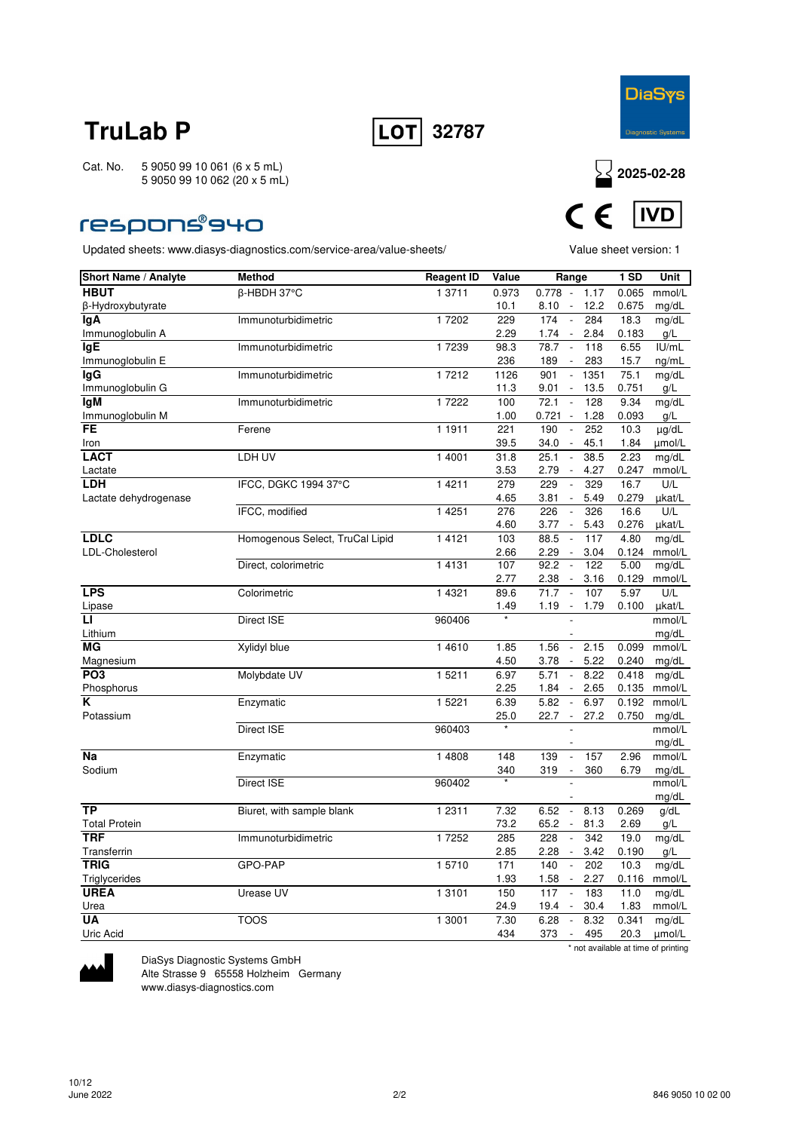



### respons®940

Updated sheets: www.diasys-diagnostics.com/service-area/value-sheets/ Value sheet version: 1



| <b>Short Name / Analyte</b> | <b>Method</b>                   | <b>Reagent ID</b>   | Value       | Range                                                                                 | 1 SD          | Unit            |
|-----------------------------|---------------------------------|---------------------|-------------|---------------------------------------------------------------------------------------|---------------|-----------------|
| <b>HBUT</b>                 | β-HBDH 37°C                     | 1 3711              | 0.973       | $0.778 -$<br>1.17                                                                     | 0.065         | mmol/L          |
| β-Hydroxybutyrate           |                                 |                     | 10.1        | 12.2<br>8.10<br>$\overline{\phantom{a}}$                                              | 0.675         | mg/dL           |
| lgA                         | Immunoturbidimetric             | 1 7202              | 229         | 174<br>284<br>$\overline{\phantom{a}}$                                                | 18.3          | mg/dL           |
| Immunoglobulin A            |                                 |                     | 2.29        | 1.74<br>$\overline{\phantom{a}}$<br>2.84                                              | 0.183         | g/L             |
| <b>IgE</b>                  | Immunoturbidimetric             | 1 7239              | 98.3        | 78.7<br>118<br>$\sim$                                                                 | 6.55          | IU/mL           |
| Immunoglobulin E            |                                 |                     | 236         | 283<br>189<br>$\sim$                                                                  | 15.7          | ng/mL           |
| laG                         | Immunoturbidimetric             | 17212               | 1126        | 901<br>1351<br>$\overline{\phantom{a}}$                                               | 75.1          | mg/dL           |
| Immunoglobulin G            |                                 |                     | 11.3        | 9.01<br>$\overline{\phantom{a}}$<br>13.5                                              | 0.751         | g/L             |
| lgM                         | Immunoturbidimetric             | 1 7222              | 100         | 72.1<br>128<br>$\sim$                                                                 | 9.34          | mg/dL           |
| Immunoglobulin M            |                                 |                     | 1.00        | 0.721<br>1.28<br>$\overline{\phantom{a}}$                                             | 0.093         | g/L             |
| <b>FE</b>                   | Ferene                          | 1 1911              | 221         | 190<br>252<br>$\overline{\phantom{a}}$                                                | 10.3          | µg/dL           |
| Iron                        |                                 |                     | 39.5        | 34.0<br>45.1<br>$\overline{\phantom{a}}$                                              | 1.84          | umol/L          |
| <b>LACT</b>                 | LDH UV                          | 1 4001              | 31.8        | 25.1<br>38.5<br>$\sim$                                                                | 2.23          | mg/dL           |
| Lactate<br><b>LDH</b>       |                                 | 1 4 2 1 1           | 3.53        | 2.79<br>4.27<br>$\sim$                                                                | 0.247         | mmol/L          |
| Lactate dehydrogenase       | IFCC, DGKC 1994 37°C            |                     | 279<br>4.65 | 229<br>329<br>$\overline{\phantom{a}}$<br>3.81<br>5.49<br>$\mathcal{L}_{\mathcal{A}}$ | 16.7<br>0.279 | U/L<br>µkat/L   |
|                             | IFCC, modified                  | 1 4 2 5 1           | 276         | 226<br>326<br>$\overline{\phantom{a}}$                                                | 16.6          | U/L             |
|                             |                                 |                     | 4.60        | 3.77<br>$\overline{\phantom{a}}$<br>5.43                                              | 0.276         | µkat/L          |
| <b>LDLC</b>                 | Homogenous Select, TruCal Lipid | 1 4 1 2 1           | 103         | 88.5<br>117<br>$\overline{\phantom{a}}$                                               | 4.80          | mg/dL           |
| LDL-Cholesterol             |                                 |                     | 2.66        | 2.29<br>3.04<br>$\overline{\phantom{a}}$                                              | 0.124         | mmol/L          |
|                             | Direct, colorimetric            | 1 4 1 3 1           | 107         | 92.2<br>122<br>$\Box$                                                                 | 5.00          | mg/dL           |
|                             |                                 |                     | 2.77        | 2.38<br>3.16<br>$\overline{\phantom{a}}$                                              | 0.129         | mmol/L          |
| <b>LPS</b>                  | Colorimetric                    | 1 4 3 2 1           | 89.6        | 107<br>71.7<br>$\overline{\phantom{a}}$                                               | 5.97          | U/L             |
| Lipase                      |                                 |                     | 1.49        | 1.19<br>$\overline{\phantom{a}}$<br>1.79                                              | 0.100         | µkat/L          |
| п                           | Direct ISE                      | 960406              |             |                                                                                       |               | mmol/L          |
| Lithium                     |                                 |                     |             |                                                                                       |               | mg/dL           |
| МG                          | Xylidyl blue                    | 1 4 6 1 0           | 1.85        | 1.56<br>2.15<br>$\overline{\phantom{a}}$                                              | 0.099         | mmol/L          |
| Magnesium                   |                                 |                     | 4.50        | 5.22<br>3.78<br>$\overline{\phantom{a}}$                                              | 0.240         | mg/dL           |
| PO <sub>3</sub>             | Molybdate UV                    | 1 5211              | 6.97        | 5.71<br>8.22<br>$\overline{\phantom{a}}$                                              | 0.418         | mg/dL           |
| Phosphorus                  |                                 |                     | 2.25        | 1.84<br>2.65<br>$\overline{\phantom{a}}$                                              | 0.135         | mmol/L          |
| K                           | Enzymatic                       | 1 5221              | 6.39        | 5.82<br>6.97<br>$\overline{\phantom{a}}$                                              | 0.192         | mmol/L          |
| Potassium                   |                                 |                     | 25.0        | 22.7<br>27.2<br>$\sim$                                                                | 0.750         | mg/dL           |
|                             | Direct ISE                      | 960403              |             |                                                                                       |               | mmol/L          |
|                             |                                 |                     |             |                                                                                       |               | mg/dL           |
| Na<br>Sodium                | Enzymatic                       | 1 4808              | 148         | 157<br>139<br>$\frac{1}{2}$<br>319<br>$\overline{\phantom{a}}$                        | 2.96<br>6.79  | mmol/L          |
|                             | Direct ISE                      | 960402              | 340         | 360                                                                                   |               | mg/dL<br>mmol/L |
|                             |                                 |                     |             |                                                                                       |               | mg/dL           |
| <b>TP</b>                   | Biuret, with sample blank       | $\overline{1}$ 2311 | 7.32        | 6.52<br>8.13<br>$\overline{\phantom{a}}$                                              | 0.269         | g/dL            |
| <b>Total Protein</b>        |                                 |                     | 73.2        | 65.2<br>81.3<br>$\overline{\phantom{a}}$                                              | 2.69          | g/L             |
| <b>TRF</b>                  | Immunoturbidimetric             | 1 7252              | 285         | 228<br>342<br>$\overline{\phantom{a}}$                                                | 19.0          | mg/dL           |
| Transferrin                 |                                 |                     | 2.85        | 2.28<br>3.42<br>$\overline{\phantom{a}}$                                              | 0.190         | g/L             |
| <b>TRIG</b>                 | GPO-PAP                         | 15710               | 171         | 140<br>202<br>$\overline{\phantom{a}}$                                                | 10.3          | mg/dL           |
| Triglycerides               |                                 |                     | 1.93        | 1.58<br>2.27<br>$\overline{\phantom{a}}$                                              | 0.116         | mmol/L          |
| <b>UREA</b>                 | Urease UV                       | 1 3101              | 150         | 117<br>183<br>$\overline{\phantom{a}}$                                                | 11.0          | mg/dL           |
| Urea                        |                                 |                     | 24.9        | 19.4<br>30.4<br>$\overline{\phantom{a}}$                                              | 1.83          | mmol/L          |
| UA                          | <b>TOOS</b>                     | 1 3001              | 7.30        | 6.28<br>8.32<br>$\overline{\phantom{a}}$                                              | 0.341         | mg/dL           |
| Uric Acid                   |                                 |                     | 434         | 373<br>495<br>$\overline{\phantom{a}}$                                                | 20.3          | umol/L          |
|                             |                                 |                     |             |                                                                                       |               |                 |

\* not available at time of printing



DiaSys Diagnostic Systems GmbH Alte Strasse 9 65558 Holzheim Germany

www.diasys-diagnostics.com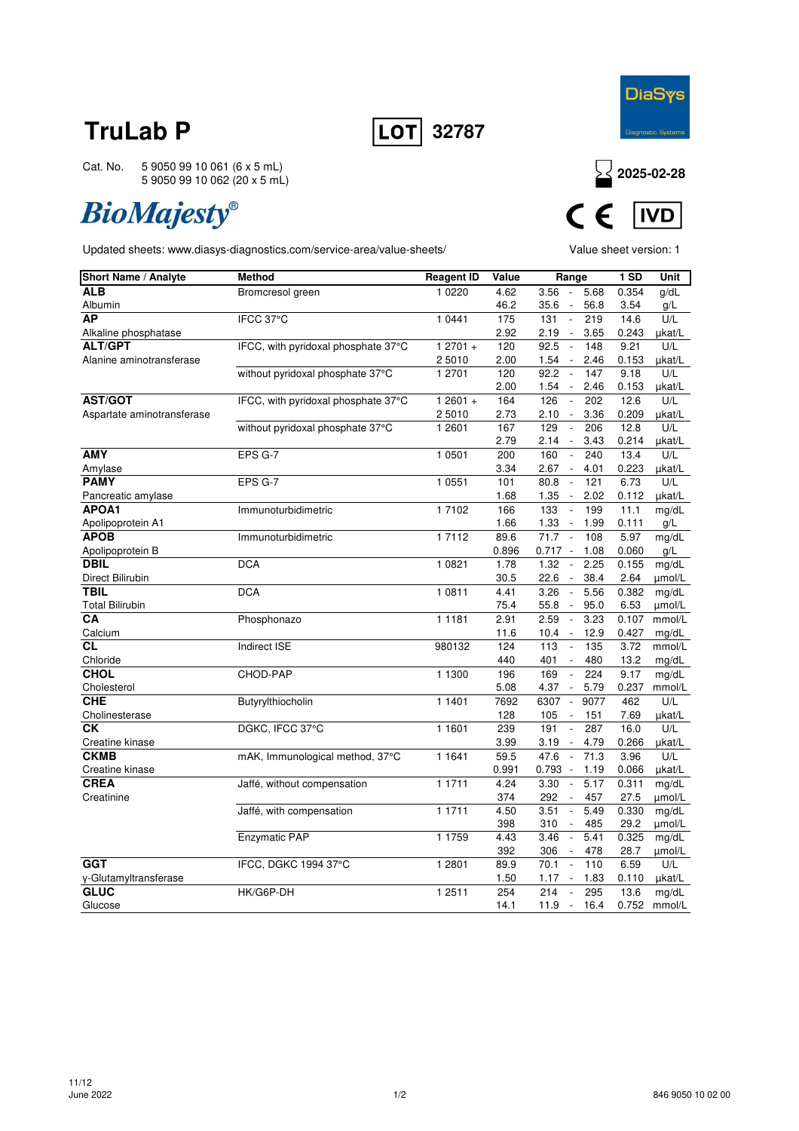



**IVD** 

**DiaSys** 

Cat. No. 5 9050 99 10 061 (6 x 5 mL) 5 9050 99 10 062 (20 x 5 mL)

# **BioMajesty®**

Updated sheets: www.diasys-diagnostics.com/service-area/value-sheets/ Value sheet version: 1

| Short Name / Analyte       | <b>Method</b>                       | <b>Reagent ID</b> | Value | Range                                    | $1$ SD | Unit   |
|----------------------------|-------------------------------------|-------------------|-------|------------------------------------------|--------|--------|
| ALB                        | Bromcresol green                    | 1 0 2 2 0         | 4.62  | 3.56<br>5.68                             | 0.354  | g/dL   |
| Albumin                    |                                     |                   | 46.2  | 56.8<br>35.6<br>$\overline{\phantom{a}}$ | 3.54   | g/L    |
| <b>AP</b>                  | IFCC 37°C                           | 1 0441            | 175   | 131<br>219<br>$\overline{\phantom{a}}$   | 14.6   | U/L    |
| Alkaline phosphatase       |                                     |                   | 2.92  | 2.19<br>$\overline{\phantom{a}}$<br>3.65 | 0.243  | µkat/L |
| <b>ALT/GPT</b>             | IFCC, with pyridoxal phosphate 37°C | $12701 +$         | 120   | 92.5<br>148<br>$\blacksquare$            | 9.21   | U/L    |
| Alanine aminotransferase   |                                     | 2 5010            | 2.00  | 1.54<br>2.46<br>$\overline{\phantom{a}}$ | 0.153  | µkat/L |
|                            | without pyridoxal phosphate 37°C    | 1 2701            | 120   | 92.2<br>$\mathbb{Z}$<br>147              | 9.18   | U/L    |
|                            |                                     |                   | 2.00  | 1.54<br>2.46<br>$\overline{\phantom{a}}$ | 0.153  | µkat/L |
| <b>AST/GOT</b>             | IFCC, with pyridoxal phosphate 37°C | $12601 +$         | 164   | 126<br>$\Box$<br>202                     | 12.6   | U/L    |
| Aspartate aminotransferase |                                     | 2 5010            | 2.73  | 3.36<br>2.10<br>$\overline{\phantom{a}}$ | 0.209  | µkat/L |
|                            | without pyridoxal phosphate 37°C    | 1 2601            | 167   | 129<br>$\overline{\phantom{a}}$<br>206   | 12.8   | U/L    |
|                            |                                     |                   | 2.79  | 3.43<br>2.14<br>$\overline{\phantom{a}}$ | 0.214  | µkat/L |
| <b>AMY</b>                 | EPS G-7                             | 1 0501            | 200   | 160<br>$\sim$<br>240                     | 13.4   | U/L    |
| Amylase                    |                                     |                   | 3.34  | 4.01<br>2.67<br>$\overline{\phantom{a}}$ | 0.223  | µkat/L |
| <b>PAMY</b>                | EPS G-7                             | 1 0551            | 101   | 80.8<br>121<br>$\overline{\phantom{a}}$  | 6.73   | U/L    |
| Pancreatic amylase         |                                     |                   | 1.68  | 2.02<br>1.35<br>$\overline{\phantom{a}}$ | 0.112  | µkat/L |
| APOA1                      | Immunoturbidimetric                 | 17102             | 166   | 133<br>199<br>$\overline{\phantom{a}}$   | 11.1   | mg/dL  |
| Apolipoprotein A1          |                                     |                   | 1.66  | 1.33<br>1.99<br>$\overline{\phantom{a}}$ | 0.111  | g/L    |
| <b>APOB</b>                | Immunoturbidimetric                 | 1 7 1 1 2         | 89.6  | 71.7<br>108<br>$\overline{\phantom{a}}$  | 5.97   | mg/dL  |
| Apolipoprotein B           |                                     |                   | 0.896 | 1.08<br>$0.717 -$                        | 0.060  | g/L    |
| <b>DBIL</b>                | <b>DCA</b>                          | 1 0 8 2 1         | 1.78  | 1.32<br>2.25<br>$\overline{\phantom{a}}$ | 0.155  | mg/dL  |
| Direct Bilirubin           |                                     |                   | 30.5  | 22.6<br>38.4<br>$\overline{\phantom{a}}$ | 2.64   | umol/L |
| <b>TBIL</b>                | <b>DCA</b>                          | 1 0811            | 4.41  | 3.26<br>5.56<br>$\Box$                   | 0.382  | mg/dL  |
| <b>Total Bilirubin</b>     |                                     |                   | 75.4  | 55.8<br>95.0<br>$\overline{\phantom{a}}$ | 6.53   | µmol/L |
| CA                         | Phosphonazo                         | 1 1 1 8 1         | 2.91  | 2.59<br>$\Box$<br>3.23                   | 0.107  | mmol/L |
| Calcium                    |                                     |                   | 11.6  | 10.4<br>12.9<br>$\overline{\phantom{a}}$ | 0.427  | mg/dL  |
| <b>CL</b>                  | Indirect ISE                        | 980132            | 124   | 113<br>$\overline{\phantom{a}}$<br>135   | 3.72   | mmol/L |
| Chloride                   |                                     |                   | 440   | 401<br>480<br>$\overline{\phantom{a}}$   | 13.2   | mg/dL  |
| <b>CHOL</b>                | CHOD-PAP                            | 1 1300            | 196   | 169<br>224<br>$\overline{\phantom{a}}$   | 9.17   | mg/dL  |
| Cholesterol                |                                     |                   | 5.08  | 4.37<br>$\overline{\phantom{a}}$<br>5.79 | 0.237  | mmol/L |
| <b>CHE</b>                 | Butyrylthiocholin                   | 1 1401            | 7692  | 6307<br>9077<br>$\overline{\phantom{a}}$ | 462    | U/L    |
| Cholinesterase             |                                     |                   | 128   | 105<br>151<br>$\overline{\phantom{a}}$   | 7.69   | µkat/L |
| СK                         | DGKC, IFCC 37°C                     | 1 1 6 0 1         | 239   | 191<br>287<br>$\overline{\phantom{a}}$   | 16.0   | U/L    |
| Creatine kinase            |                                     |                   | 3.99  | 3.19<br>4.79<br>$\blacksquare$           | 0.266  | µkat/L |
| <b>CKMB</b>                | mAK, Immunological method, 37°C     | 1 1 6 4 1         | 59.5  | 47.6<br>71.3<br>$\overline{\phantom{a}}$ | 3.96   | U/L    |
| Creatine kinase            |                                     |                   | 0.991 | 0.793<br>1.19<br>$\sim$                  | 0.066  | µkat/L |
| <b>CREA</b>                | Jaffé, without compensation         | 1 1711            | 4.24  | 5.17<br>3.30<br>$\overline{\phantom{a}}$ | 0.311  | mg/dL  |
| Creatinine                 |                                     |                   | 374   | 292<br>457<br>$\overline{\phantom{a}}$   | 27.5   | umol/L |
|                            | Jaffé, with compensation            | 1 1711            | 4.50  | 3.51<br>5.49<br>$\Box$                   | 0.330  | mg/dL  |
|                            |                                     |                   | 398   | 310<br>485<br>$\overline{\phantom{a}}$   | 29.2   | umol/L |
|                            | <b>Enzymatic PAP</b>                | 1 1759            | 4.43  | 3.46<br>5.41<br>$\Box$                   | 0.325  | mg/dL  |
|                            |                                     |                   | 392   | 306<br>478<br>$\overline{\phantom{a}}$   | 28.7   | umol/L |
| <b>GGT</b>                 | IFCC, DGKC 1994 37°C                | 1 2 8 0 1         | 89.9  | 70.1<br>$\overline{a}$<br>110            | 6.59   | U/L    |
| y-Glutamyltransferase      |                                     |                   | 1.50  | 1.83<br>1.17                             | 0.110  | µkat/L |
| <b>GLUC</b>                | HK/G6P-DH                           | 1 2511            | 254   | 214<br>295<br>$\overline{\phantom{a}}$   | 13.6   | mg/dL  |
| Glucose                    |                                     |                   | 14.1  | 11.9<br>16.4<br>$\sim$                   | 0.752  | mmol/L |

 $\mathcal{C}_{\mathbb{C}}$  $\epsilon$